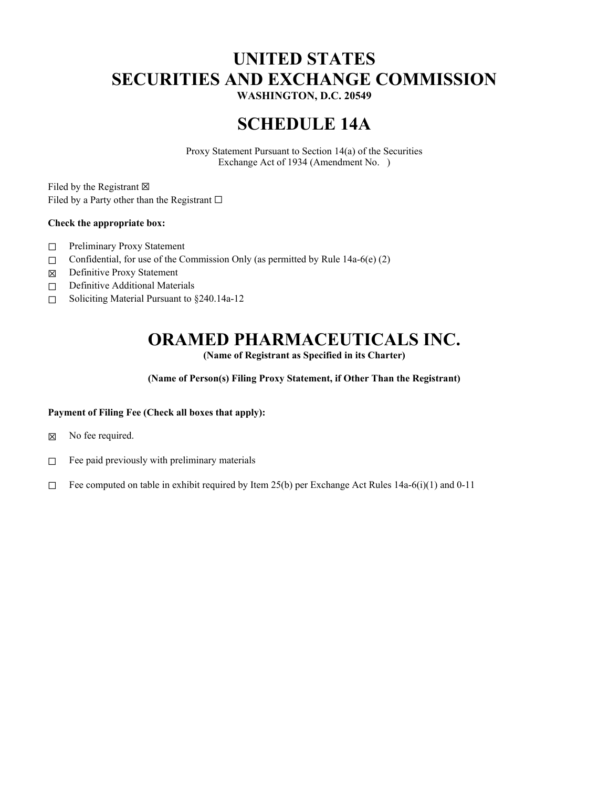# **UNITED STATES SECURITIES AND EXCHANGE COMMISSION**

**WASHINGTON, D.C. 20549**

## **SCHEDULE 14A**

Proxy Statement Pursuant to Section 14(a) of the Securities Exchange Act of 1934 (Amendment No. )

Filed by the Registrant  $\boxtimes$ Filed by a Party other than the Registrant  $□$ 

## **Check the appropriate box:**

- ☐ Preliminary Proxy Statement
- $\Box$  Confidential, for use of the Commission Only (as permitted by Rule 14a-6(e) (2)
- ☒ Definitive Proxy Statement
- □ Definitive Additional Materials
- ☐ Soliciting Material Pursuant to §240.14a-12

## **ORAMED PHARMACEUTICALS INC.**

**(Name of Registrant as Specified in its Charter)** 

**(Name of Person(s) Filing Proxy Statement, if Other Than the Registrant)** 

## **Payment of Filing Fee (Check all boxes that apply):**

- ☒ No fee required.
- $\Box$  Fee paid previously with preliminary materials
- □ Fee computed on table in exhibit required by Item 25(b) per Exchange Act Rules 14a-6(i)(1) and 0-11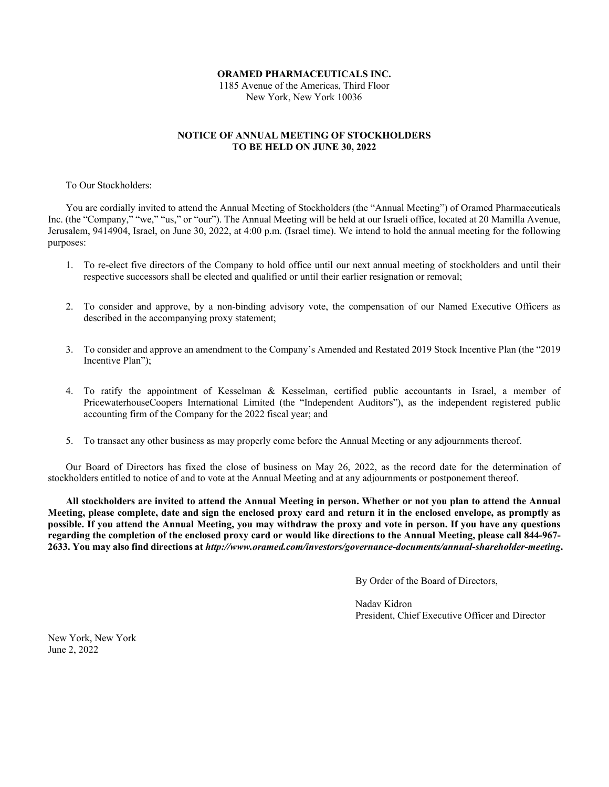#### **ORAMED PHARMACEUTICALS INC.**

1185 Avenue of the Americas, Third Floor New York, New York 10036

## **NOTICE OF ANNUAL MEETING OF STOCKHOLDERS TO BE HELD ON JUNE 30, 2022**

To Our Stockholders:

You are cordially invited to attend the Annual Meeting of Stockholders (the "Annual Meeting") of Oramed Pharmaceuticals Inc. (the "Company," "we," "us," or "our"). The Annual Meeting will be held at our Israeli office, located at 20 Mamilla Avenue, Jerusalem, 9414904, Israel, on June 30, 2022, at 4:00 p.m. (Israel time). We intend to hold the annual meeting for the following purposes:

- 1. To re-elect five directors of the Company to hold office until our next annual meeting of stockholders and until their respective successors shall be elected and qualified or until their earlier resignation or removal;
- 2. To consider and approve, by a non-binding advisory vote, the compensation of our Named Executive Officers as described in the accompanying proxy statement;
- 3. To consider and approve an amendment to the Company's Amended and Restated 2019 Stock Incentive Plan (the "2019 Incentive Plan");
- 4. To ratify the appointment of Kesselman & Kesselman, certified public accountants in Israel, a member of PricewaterhouseCoopers International Limited (the "Independent Auditors"), as the independent registered public accounting firm of the Company for the 2022 fiscal year; and
- 5. To transact any other business as may properly come before the Annual Meeting or any adjournments thereof.

Our Board of Directors has fixed the close of business on May 26, 2022, as the record date for the determination of stockholders entitled to notice of and to vote at the Annual Meeting and at any adjournments or postponement thereof.

**All stockholders are invited to attend the Annual Meeting in person. Whether or not you plan to attend the Annual Meeting, please complete, date and sign the enclosed proxy card and return it in the enclosed envelope, as promptly as possible. If you attend the Annual Meeting, you may withdraw the proxy and vote in person. If you have any questions regarding the completion of the enclosed proxy card or would like directions to the Annual Meeting, please call 844-967- 2633. You may also find directions at** *http://www.oramed.com/investors/governance-documents/annual-shareholder-meeting***.**

By Order of the Board of Directors,

 Nadav Kidron President, Chief Executive Officer and Director

New York, New York June 2, 2022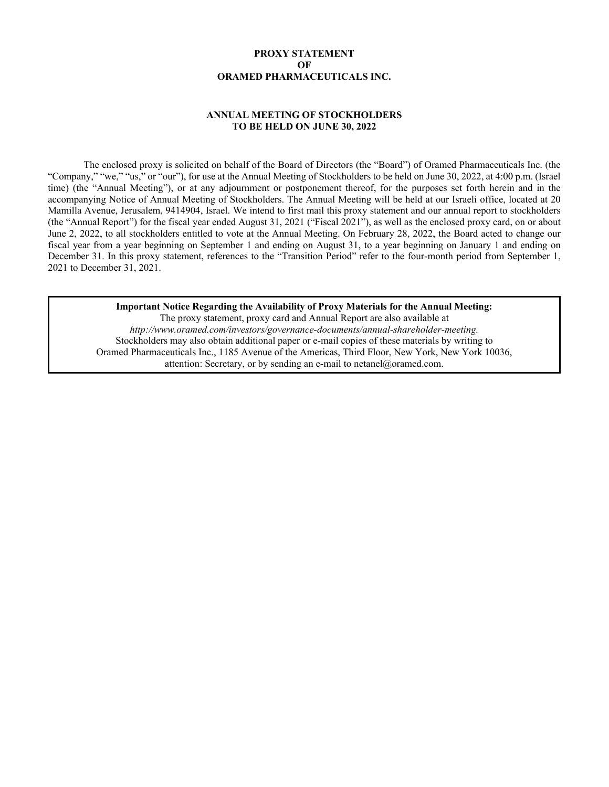## **PROXY STATEMENT OF ORAMED PHARMACEUTICALS INC.**

## **ANNUAL MEETING OF STOCKHOLDERS TO BE HELD ON JUNE 30, 2022**

The enclosed proxy is solicited on behalf of the Board of Directors (the "Board") of Oramed Pharmaceuticals Inc. (the "Company," "we," "us," or "our"), for use at the Annual Meeting of Stockholders to be held on June 30, 2022, at 4:00 p.m. (Israel time) (the "Annual Meeting"), or at any adjournment or postponement thereof, for the purposes set forth herein and in the accompanying Notice of Annual Meeting of Stockholders. The Annual Meeting will be held at our Israeli office, located at 20 Mamilla Avenue, Jerusalem, 9414904, Israel. We intend to first mail this proxy statement and our annual report to stockholders (the "Annual Report") for the fiscal year ended August 31, 2021 ("Fiscal 2021"), as well as the enclosed proxy card, on or about June 2, 2022, to all stockholders entitled to vote at the Annual Meeting. On February 28, 2022, the Board acted to change our fiscal year from a year beginning on September 1 and ending on August 31, to a year beginning on January 1 and ending on December 31. In this proxy statement, references to the "Transition Period" refer to the four-month period from September 1, 2021 to December 31, 2021.

**Important Notice Regarding the Availability of Proxy Materials for the Annual Meeting:**  The proxy statement, proxy card and Annual Report are also available at *http://www.oramed.com/investors/governance-documents/annual-shareholder-meeting.* Stockholders may also obtain additional paper or e-mail copies of these materials by writing to Oramed Pharmaceuticals Inc., 1185 Avenue of the Americas, Third Floor, New York, New York 10036, attention: Secretary, or by sending an e-mail to netanel@oramed.com.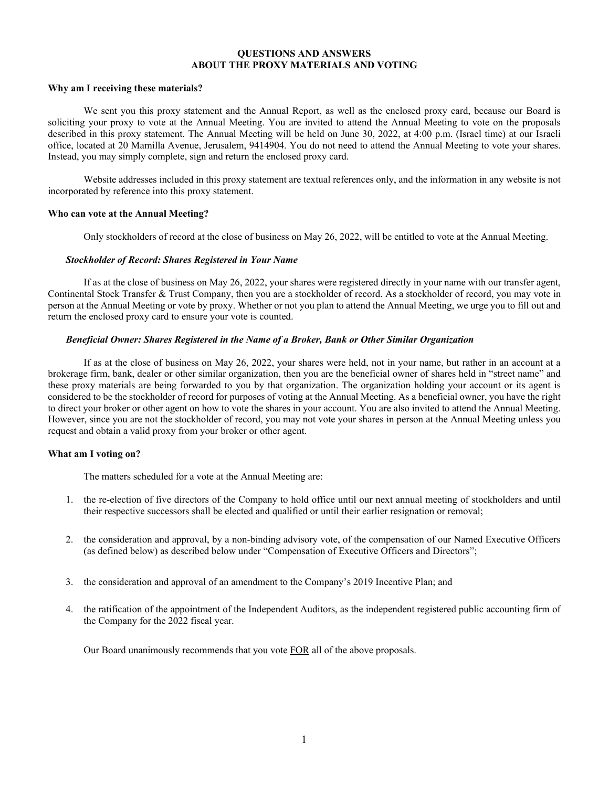#### **QUESTIONS AND ANSWERS ABOUT THE PROXY MATERIALS AND VOTING**

#### **Why am I receiving these materials?**

We sent you this proxy statement and the Annual Report, as well as the enclosed proxy card, because our Board is soliciting your proxy to vote at the Annual Meeting. You are invited to attend the Annual Meeting to vote on the proposals described in this proxy statement. The Annual Meeting will be held on June 30, 2022, at 4:00 p.m. (Israel time) at our Israeli office, located at 20 Mamilla Avenue, Jerusalem, 9414904. You do not need to attend the Annual Meeting to vote your shares. Instead, you may simply complete, sign and return the enclosed proxy card.

Website addresses included in this proxy statement are textual references only, and the information in any website is not incorporated by reference into this proxy statement.

#### **Who can vote at the Annual Meeting?**

Only stockholders of record at the close of business on May 26, 2022, will be entitled to vote at the Annual Meeting.

#### *Stockholder of Record: Shares Registered in Your Name*

If as at the close of business on May 26, 2022, your shares were registered directly in your name with our transfer agent, Continental Stock Transfer & Trust Company, then you are a stockholder of record. As a stockholder of record, you may vote in person at the Annual Meeting or vote by proxy. Whether or not you plan to attend the Annual Meeting, we urge you to fill out and return the enclosed proxy card to ensure your vote is counted.

#### *Beneficial Owner: Shares Registered in the Name of a Broker, Bank or Other Similar Organization*

If as at the close of business on May 26, 2022, your shares were held, not in your name, but rather in an account at a brokerage firm, bank, dealer or other similar organization, then you are the beneficial owner of shares held in "street name" and these proxy materials are being forwarded to you by that organization. The organization holding your account or its agent is considered to be the stockholder of record for purposes of voting at the Annual Meeting. As a beneficial owner, you have the right to direct your broker or other agent on how to vote the shares in your account. You are also invited to attend the Annual Meeting. However, since you are not the stockholder of record, you may not vote your shares in person at the Annual Meeting unless you request and obtain a valid proxy from your broker or other agent.

#### **What am I voting on?**

The matters scheduled for a vote at the Annual Meeting are:

- 1. the re-election of five directors of the Company to hold office until our next annual meeting of stockholders and until their respective successors shall be elected and qualified or until their earlier resignation or removal;
- 2. the consideration and approval, by a non-binding advisory vote, of the compensation of our Named Executive Officers (as defined below) as described below under "Compensation of Executive Officers and Directors";
- 3. the consideration and approval of an amendment to the Company's 2019 Incentive Plan; and
- 4. the ratification of the appointment of the Independent Auditors, as the independent registered public accounting firm of the Company for the 2022 fiscal year.

Our Board unanimously recommends that you vote FOR all of the above proposals.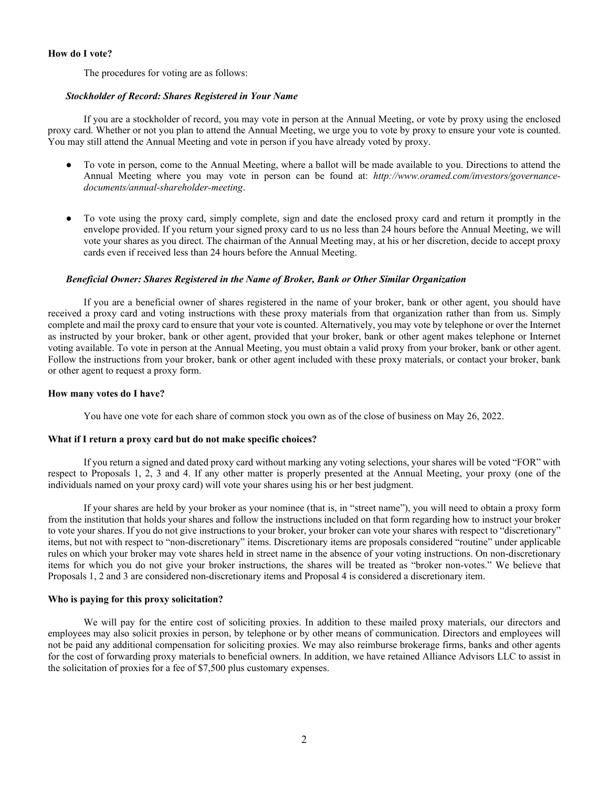### **How do I vote?**

The procedures for voting are as follows:

## *Stockholder of Record: Shares Registered in Your Name*

If you are a stockholder of record, you may vote in person at the Annual Meeting, or vote by proxy using the enclosed proxy card. Whether or not you plan to attend the Annual Meeting, we urge you to vote by proxy to ensure your vote is counted. You may still attend the Annual Meeting and vote in person if you have already voted by proxy.

- To vote in person, come to the Annual Meeting, where a ballot will be made available to you. Directions to attend the Annual Meeting where you may vote in person can be found at: *http://www.oramed.com/investors/governancedocuments/annual-shareholder-meeting*.
- To vote using the proxy card, simply complete, sign and date the enclosed proxy card and return it promptly in the envelope provided. If you return your signed proxy card to us no less than 24 hours before the Annual Meeting, we will vote your shares as you direct. The chairman of the Annual Meeting may, at his or her discretion, decide to accept proxy cards even if received less than 24 hours before the Annual Meeting.

## *Beneficial Owner: Shares Registered in the Name of Broker, Bank or Other Similar Organization*

If you are a beneficial owner of shares registered in the name of your broker, bank or other agent, you should have received a proxy card and voting instructions with these proxy materials from that organization rather than from us. Simply complete and mail the proxy card to ensure that your vote is counted. Alternatively, you may vote by telephone or over the Internet as instructed by your broker, bank or other agent, provided that your broker, bank or other agent makes telephone or Internet voting available. To vote in person at the Annual Meeting, you must obtain a valid proxy from your broker, bank or other agent. Follow the instructions from your broker, bank or other agent included with these proxy materials, or contact your broker, bank or other agent to request a proxy form.

#### **How many votes do I have?**

You have one vote for each share of common stock you own as of the close of business on May 26, 2022.

#### **What if I return a proxy card but do not make specific choices?**

If you return a signed and dated proxy card without marking any voting selections, your shares will be voted "FOR" with respect to Proposals 1, 2, 3 and 4. If any other matter is properly presented at the Annual Meeting, your proxy (one of the individuals named on your proxy card) will vote your shares using his or her best judgment.

If your shares are held by your broker as your nominee (that is, in "street name"), you will need to obtain a proxy form from the institution that holds your shares and follow the instructions included on that form regarding how to instruct your broker to vote your shares. If you do not give instructions to your broker, your broker can vote your shares with respect to "discretionary" items, but not with respect to "non-discretionary" items. Discretionary items are proposals considered "routine" under applicable rules on which your broker may vote shares held in street name in the absence of your voting instructions. On non-discretionary items for which you do not give your broker instructions, the shares will be treated as "broker non-votes." We believe that Proposals 1, 2 and 3 are considered non-discretionary items and Proposal 4 is considered a discretionary item.

#### **Who is paying for this proxy solicitation?**

We will pay for the entire cost of soliciting proxies. In addition to these mailed proxy materials, our directors and employees may also solicit proxies in person, by telephone or by other means of communication. Directors and employees will not be paid any additional compensation for soliciting proxies. We may also reimburse brokerage firms, banks and other agents for the cost of forwarding proxy materials to beneficial owners. In addition, we have retained Alliance Advisors LLC to assist in the solicitation of proxies for a fee of \$7,500 plus customary expenses.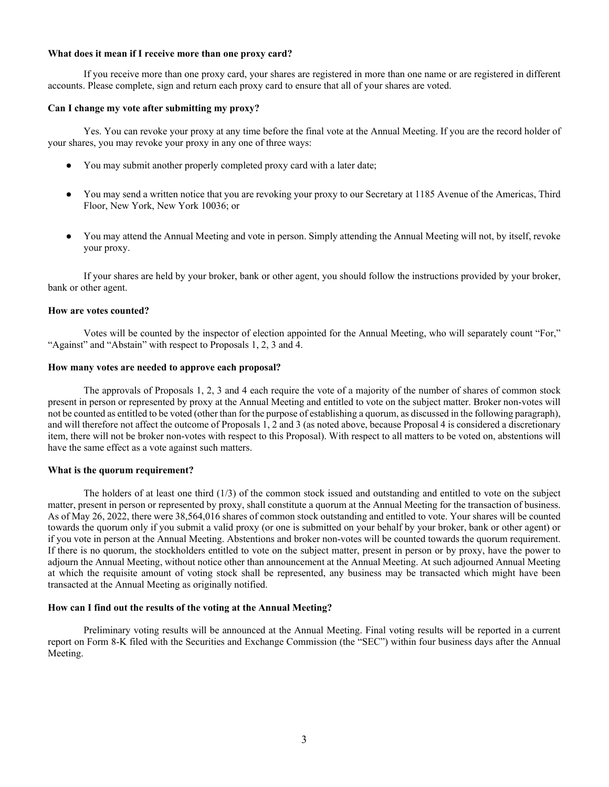#### **What does it mean if I receive more than one proxy card?**

If you receive more than one proxy card, your shares are registered in more than one name or are registered in different accounts. Please complete, sign and return each proxy card to ensure that all of your shares are voted.

#### **Can I change my vote after submitting my proxy?**

Yes. You can revoke your proxy at any time before the final vote at the Annual Meeting. If you are the record holder of your shares, you may revoke your proxy in any one of three ways:

- You may submit another properly completed proxy card with a later date;
- You may send a written notice that you are revoking your proxy to our Secretary at 1185 Avenue of the Americas, Third Floor, New York, New York 10036; or
- You may attend the Annual Meeting and vote in person. Simply attending the Annual Meeting will not, by itself, revoke your proxy.

If your shares are held by your broker, bank or other agent, you should follow the instructions provided by your broker, bank or other agent.

#### **How are votes counted?**

Votes will be counted by the inspector of election appointed for the Annual Meeting, who will separately count "For," "Against" and "Abstain" with respect to Proposals 1, 2, 3 and 4.

#### **How many votes are needed to approve each proposal?**

The approvals of Proposals 1, 2, 3 and 4 each require the vote of a majority of the number of shares of common stock present in person or represented by proxy at the Annual Meeting and entitled to vote on the subject matter. Broker non-votes will not be counted as entitled to be voted (other than for the purpose of establishing a quorum, as discussed in the following paragraph), and will therefore not affect the outcome of Proposals 1, 2 and 3 (as noted above, because Proposal 4 is considered a discretionary item, there will not be broker non-votes with respect to this Proposal). With respect to all matters to be voted on, abstentions will have the same effect as a vote against such matters.

#### **What is the quorum requirement?**

The holders of at least one third (1/3) of the common stock issued and outstanding and entitled to vote on the subject matter, present in person or represented by proxy, shall constitute a quorum at the Annual Meeting for the transaction of business. As of May 26, 2022, there were 38,564,016 shares of common stock outstanding and entitled to vote. Your shares will be counted towards the quorum only if you submit a valid proxy (or one is submitted on your behalf by your broker, bank or other agent) or if you vote in person at the Annual Meeting. Abstentions and broker non-votes will be counted towards the quorum requirement. If there is no quorum, the stockholders entitled to vote on the subject matter, present in person or by proxy, have the power to adjourn the Annual Meeting, without notice other than announcement at the Annual Meeting. At such adjourned Annual Meeting at which the requisite amount of voting stock shall be represented, any business may be transacted which might have been transacted at the Annual Meeting as originally notified.

#### **How can I find out the results of the voting at the Annual Meeting?**

Preliminary voting results will be announced at the Annual Meeting. Final voting results will be reported in a current report on Form 8-K filed with the Securities and Exchange Commission (the "SEC") within four business days after the Annual Meeting.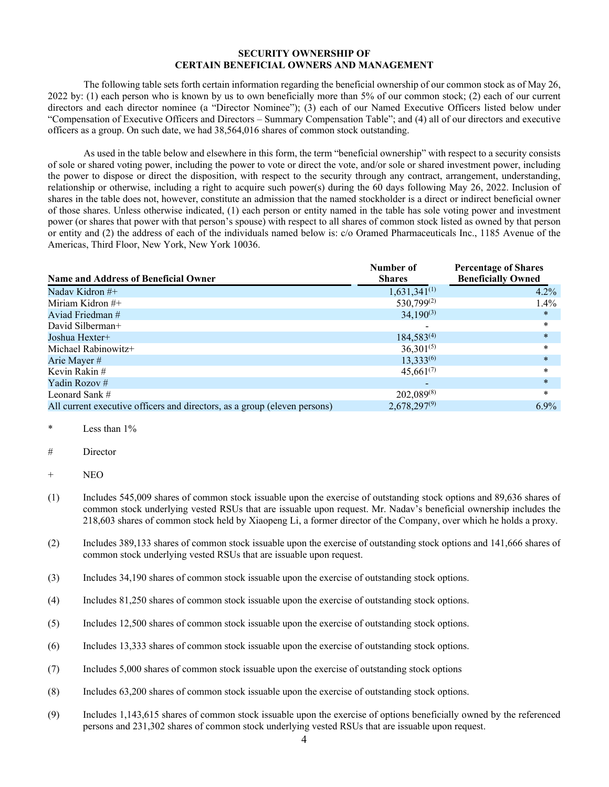## **SECURITY OWNERSHIP OF CERTAIN BENEFICIAL OWNERS AND MANAGEMENT**

The following table sets forth certain information regarding the beneficial ownership of our common stock as of May 26, 2022 by: (1) each person who is known by us to own beneficially more than 5% of our common stock; (2) each of our current directors and each director nominee (a "Director Nominee"); (3) each of our Named Executive Officers listed below under "Compensation of Executive Officers and Directors – Summary Compensation Table"; and (4) all of our directors and executive officers as a group. On such date, we had 38,564,016 shares of common stock outstanding.

As used in the table below and elsewhere in this form, the term "beneficial ownership" with respect to a security consists of sole or shared voting power, including the power to vote or direct the vote, and/or sole or shared investment power, including the power to dispose or direct the disposition, with respect to the security through any contract, arrangement, understanding, relationship or otherwise, including a right to acquire such power(s) during the 60 days following May 26, 2022. Inclusion of shares in the table does not, however, constitute an admission that the named stockholder is a direct or indirect beneficial owner of those shares. Unless otherwise indicated, (1) each person or entity named in the table has sole voting power and investment power (or shares that power with that person's spouse) with respect to all shares of common stock listed as owned by that person or entity and (2) the address of each of the individuals named below is: c/o Oramed Pharmaceuticals Inc., 1185 Avenue of the Americas, Third Floor, New York, New York 10036.

| <b>Name and Address of Beneficial Owner</b>                               | Number of<br><b>Shares</b> | <b>Percentage of Shares</b><br><b>Beneficially Owned</b> |
|---------------------------------------------------------------------------|----------------------------|----------------------------------------------------------|
| Naday Kidron #+                                                           | $1,631,341^{(1)}$          | $4.2\%$                                                  |
| Miriam Kidron $#$ +                                                       | $530,799^{(2)}$            | $1.4\%$                                                  |
| Aviad Friedman #                                                          | $34,190^{(3)}$             | $\ast$                                                   |
| David Silberman+                                                          |                            | $\ast$                                                   |
| Joshua Hexter+                                                            | $184,583^{(4)}$            | $\ast$                                                   |
| Michael Rabinowitz+                                                       | $36,301^{(5)}$             | $\ast$                                                   |
| Arie Mayer #                                                              | 13,333(6)                  | $\ast$                                                   |
| Kevin Rakin#                                                              | $45,661^{(7)}$             | $\ast$                                                   |
| Yadin Rozov#                                                              |                            | $\ast$                                                   |
| Leonard Sank $#$                                                          | $202,089^{(8)}$            | $\ast$                                                   |
| All current executive officers and directors, as a group (eleven persons) | $2,678,297^{(9)}$          | $6.9\%$                                                  |

## Less than  $1\%$

# Director

- (1) Includes 545,009 shares of common stock issuable upon the exercise of outstanding stock options and 89,636 shares of common stock underlying vested RSUs that are issuable upon request. Mr. Nadav's beneficial ownership includes the 218,603 shares of common stock held by Xiaopeng Li, a former director of the Company, over which he holds a proxy.
- (2) Includes 389,133 shares of common stock issuable upon the exercise of outstanding stock options and 141,666 shares of common stock underlying vested RSUs that are issuable upon request.
- (3) Includes 34,190 shares of common stock issuable upon the exercise of outstanding stock options.
- (4) Includes 81,250 shares of common stock issuable upon the exercise of outstanding stock options.
- (5) Includes 12,500 shares of common stock issuable upon the exercise of outstanding stock options.
- (6) Includes 13,333 shares of common stock issuable upon the exercise of outstanding stock options.
- (7) Includes 5,000 shares of common stock issuable upon the exercise of outstanding stock options
- (8) Includes 63,200 shares of common stock issuable upon the exercise of outstanding stock options.
- (9) Includes 1,143,615 shares of common stock issuable upon the exercise of options beneficially owned by the referenced persons and 231,302 shares of common stock underlying vested RSUs that are issuable upon request.

<sup>+</sup> NEO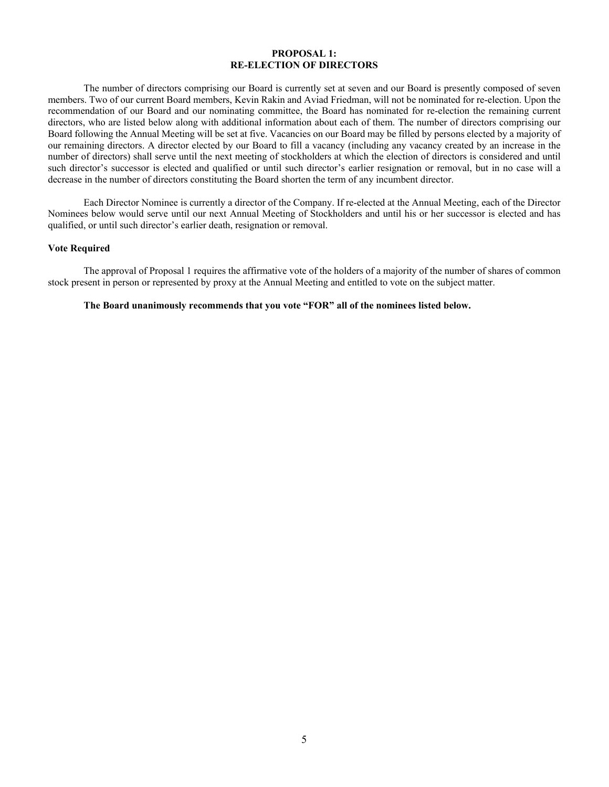## **PROPOSAL 1: RE-ELECTION OF DIRECTORS**

The number of directors comprising our Board is currently set at seven and our Board is presently composed of seven members. Two of our current Board members, Kevin Rakin and Aviad Friedman, will not be nominated for re-election. Upon the recommendation of our Board and our nominating committee, the Board has nominated for re-election the remaining current directors, who are listed below along with additional information about each of them. The number of directors comprising our Board following the Annual Meeting will be set at five. Vacancies on our Board may be filled by persons elected by a majority of our remaining directors. A director elected by our Board to fill a vacancy (including any vacancy created by an increase in the number of directors) shall serve until the next meeting of stockholders at which the election of directors is considered and until such director's successor is elected and qualified or until such director's earlier resignation or removal, but in no case will a decrease in the number of directors constituting the Board shorten the term of any incumbent director.

Each Director Nominee is currently a director of the Company. If re-elected at the Annual Meeting, each of the Director Nominees below would serve until our next Annual Meeting of Stockholders and until his or her successor is elected and has qualified, or until such director's earlier death, resignation or removal.

#### **Vote Required**

The approval of Proposal 1 requires the affirmative vote of the holders of a majority of the number of shares of common stock present in person or represented by proxy at the Annual Meeting and entitled to vote on the subject matter.

#### **The Board unanimously recommends that you vote "FOR" all of the nominees listed below.**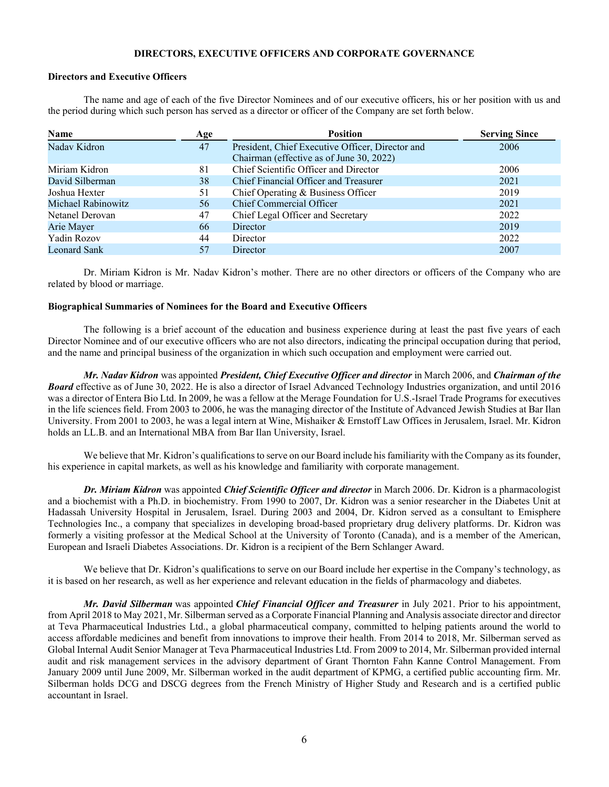### **DIRECTORS, EXECUTIVE OFFICERS AND CORPORATE GOVERNANCE**

## **Directors and Executive Officers**

The name and age of each of the five Director Nominees and of our executive officers, his or her position with us and the period during which such person has served as a director or officer of the Company are set forth below.

| Name               | Age | <b>Position</b>                                  | <b>Serving Since</b> |
|--------------------|-----|--------------------------------------------------|----------------------|
| Nadav Kidron       | 47  | President, Chief Executive Officer, Director and | 2006                 |
|                    |     | Chairman (effective as of June 30, 2022)         |                      |
| Miriam Kidron      | 81  | Chief Scientific Officer and Director            | 2006                 |
| David Silberman    | 38  | Chief Financial Officer and Treasurer            | 2021                 |
| Joshua Hexter      | 51  | Chief Operating & Business Officer               | 2019                 |
| Michael Rabinowitz | 56  | Chief Commercial Officer                         | 2021                 |
| Netanel Derovan    | 47  | Chief Legal Officer and Secretary                | 2022                 |
| Arie Mayer         | 66  | Director                                         | 2019                 |
| Yadin Rozov        | 44  | Director                                         | 2022                 |
| Leonard Sank       | 57  | Director                                         | 2007                 |

Dr. Miriam Kidron is Mr. Nadav Kidron's mother. There are no other directors or officers of the Company who are related by blood or marriage.

## **Biographical Summaries of Nominees for the Board and Executive Officers**

The following is a brief account of the education and business experience during at least the past five years of each Director Nominee and of our executive officers who are not also directors, indicating the principal occupation during that period, and the name and principal business of the organization in which such occupation and employment were carried out.

*Mr. Nadav Kidron* was appointed *President, Chief Executive Officer and director* in March 2006, and *Chairman of the Board* effective as of June 30, 2022. He is also a director of Israel Advanced Technology Industries organization, and until 2016 was a director of Entera Bio Ltd. In 2009, he was a fellow at the Merage Foundation for U.S.-Israel Trade Programs for executives in the life sciences field. From 2003 to 2006, he was the managing director of the Institute of Advanced Jewish Studies at Bar Ilan University. From 2001 to 2003, he was a legal intern at Wine, Mishaiker & Ernstoff Law Offices in Jerusalem, Israel. Mr. Kidron holds an LL.B. and an International MBA from Bar Ilan University, Israel.

We believe that Mr. Kidron's qualifications to serve on our Board include his familiarity with the Company as its founder, his experience in capital markets, as well as his knowledge and familiarity with corporate management.

*Dr. Miriam Kidron* was appointed *Chief Scientific Officer and director* in March 2006. Dr. Kidron is a pharmacologist and a biochemist with a Ph.D. in biochemistry. From 1990 to 2007, Dr. Kidron was a senior researcher in the Diabetes Unit at Hadassah University Hospital in Jerusalem, Israel. During 2003 and 2004, Dr. Kidron served as a consultant to Emisphere Technologies Inc., a company that specializes in developing broad-based proprietary drug delivery platforms. Dr. Kidron was formerly a visiting professor at the Medical School at the University of Toronto (Canada), and is a member of the American, European and Israeli Diabetes Associations. Dr. Kidron is a recipient of the Bern Schlanger Award.

We believe that Dr. Kidron's qualifications to serve on our Board include her expertise in the Company's technology, as it is based on her research, as well as her experience and relevant education in the fields of pharmacology and diabetes.

*Mr. David Silberman* was appointed *Chief Financial Officer and Treasurer* in July 2021. Prior to his appointment, from April 2018 to May 2021, Mr. Silberman served as a Corporate Financial Planning and Analysis associate director and director at Teva Pharmaceutical Industries Ltd., a global pharmaceutical company, committed to helping patients around the world to access affordable medicines and benefit from innovations to improve their health. From 2014 to 2018, Mr. Silberman served as Global Internal Audit Senior Manager at Teva Pharmaceutical Industries Ltd. From 2009 to 2014, Mr. Silberman provided internal audit and risk management services in the advisory department of Grant Thornton Fahn Kanne Control Management. From January 2009 until June 2009, Mr. Silberman worked in the audit department of KPMG, a certified public accounting firm. Mr. Silberman holds DCG and DSCG degrees from the French Ministry of Higher Study and Research and is a certified public accountant in Israel.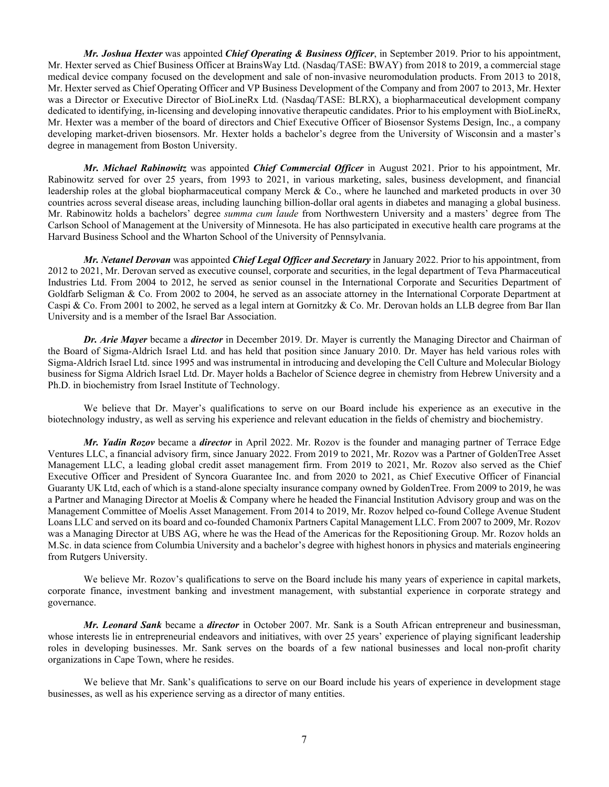*Mr. Joshua Hexter* was appointed *Chief Operating & Business Officer*, in September 2019. Prior to his appointment, Mr. Hexter served as Chief Business Officer at BrainsWay Ltd. (Nasdaq/TASE: BWAY) from 2018 to 2019, a commercial stage medical device company focused on the development and sale of non-invasive neuromodulation products. From 2013 to 2018, Mr. Hexter served as Chief Operating Officer and VP Business Development of the Company and from 2007 to 2013, Mr. Hexter was a Director or Executive Director of BioLineRx Ltd. (Nasdaq/TASE: BLRX), a biopharmaceutical development company dedicated to identifying, in-licensing and developing innovative therapeutic candidates. Prior to his employment with BioLineRx, Mr. Hexter was a member of the board of directors and Chief Executive Officer of Biosensor Systems Design, Inc., a company developing market-driven biosensors. Mr. Hexter holds a bachelor's degree from the University of Wisconsin and a master's degree in management from Boston University.

*Mr. Michael Rabinowitz* was appointed *Chief Commercial Officer* in August 2021. Prior to his appointment, Mr. Rabinowitz served for over 25 years, from 1993 to 2021, in various marketing, sales, business development, and financial leadership roles at the global biopharmaceutical company Merck & Co., where he launched and marketed products in over 30 countries across several disease areas, including launching billion-dollar oral agents in diabetes and managing a global business. Mr. Rabinowitz holds a bachelors' degree *summa cum laude* from Northwestern University and a masters' degree from The Carlson School of Management at the University of Minnesota. He has also participated in executive health care programs at the Harvard Business School and the Wharton School of the University of Pennsylvania.

*Mr. Netanel Derovan* was appointed *Chief Legal Officer and Secretary* in January 2022. Prior to his appointment, from 2012 to 2021, Mr. Derovan served as executive counsel, corporate and securities, in the legal department of Teva Pharmaceutical Industries Ltd. From 2004 to 2012, he served as senior counsel in the International Corporate and Securities Department of Goldfarb Seligman & Co. From 2002 to 2004, he served as an associate attorney in the International Corporate Department at Caspi & Co. From 2001 to 2002, he served as a legal intern at Gornitzky & Co. Mr. Derovan holds an LLB degree from Bar Ilan University and is a member of the Israel Bar Association.

*Dr. Arie Mayer* became a *director* in December 2019. Dr. Mayer is currently the Managing Director and Chairman of the Board of Sigma-Aldrich Israel Ltd. and has held that position since January 2010. Dr. Mayer has held various roles with Sigma-Aldrich Israel Ltd. since 1995 and was instrumental in introducing and developing the Cell Culture and Molecular Biology business for Sigma Aldrich Israel Ltd. Dr. Mayer holds a Bachelor of Science degree in chemistry from Hebrew University and a Ph.D. in biochemistry from Israel Institute of Technology.

We believe that Dr. Mayer's qualifications to serve on our Board include his experience as an executive in the biotechnology industry, as well as serving his experience and relevant education in the fields of chemistry and biochemistry.

*Mr. Yadin Rozov* became a *director* in April 2022. Mr. Rozov is the founder and managing partner of Terrace Edge Ventures LLC, a financial advisory firm, since January 2022. From 2019 to 2021, Mr. Rozov was a Partner of GoldenTree Asset Management LLC, a leading global credit asset management firm. From 2019 to 2021, Mr. Rozov also served as the Chief Executive Officer and President of Syncora Guarantee Inc. and from 2020 to 2021, as Chief Executive Officer of Financial Guaranty UK Ltd, each of which is a stand-alone specialty insurance company owned by GoldenTree. From 2009 to 2019, he was a Partner and Managing Director at Moelis & Company where he headed the Financial Institution Advisory group and was on the Management Committee of Moelis Asset Management. From 2014 to 2019, Mr. Rozov helped co-found College Avenue Student Loans LLC and served on its board and co-founded Chamonix Partners Capital Management LLC. From 2007 to 2009, Mr. Rozov was a Managing Director at UBS AG, where he was the Head of the Americas for the Repositioning Group. Mr. Rozov holds an M.Sc. in data science from Columbia University and a bachelor's degree with highest honors in physics and materials engineering from Rutgers University.

We believe Mr. Rozov's qualifications to serve on the Board include his many years of experience in capital markets, corporate finance, investment banking and investment management, with substantial experience in corporate strategy and governance.

*Mr. Leonard Sank* became a *director* in October 2007. Mr. Sank is a South African entrepreneur and businessman, whose interests lie in entrepreneurial endeavors and initiatives, with over 25 years' experience of playing significant leadership roles in developing businesses. Mr. Sank serves on the boards of a few national businesses and local non-profit charity organizations in Cape Town, where he resides.

We believe that Mr. Sank's qualifications to serve on our Board include his years of experience in development stage businesses, as well as his experience serving as a director of many entities.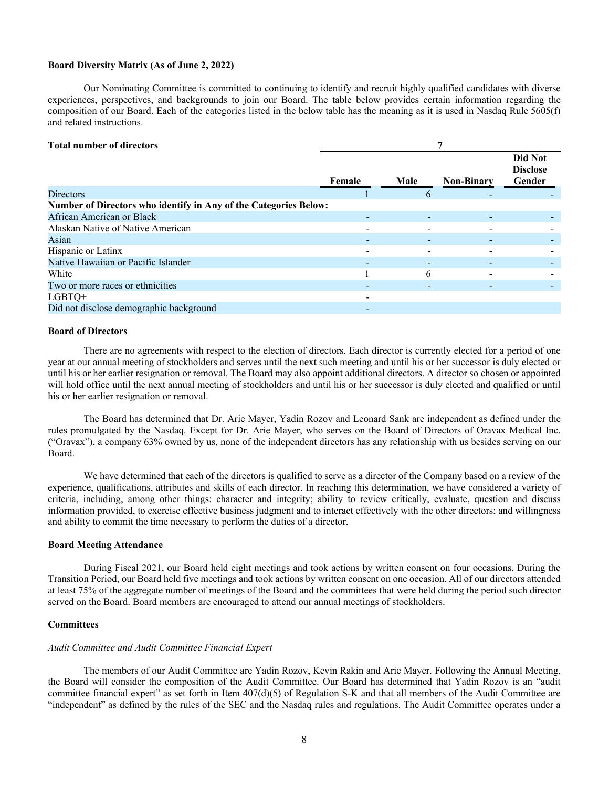#### **Board Diversity Matrix (As of June 2, 2022)**

Our Nominating Committee is committed to continuing to identify and recruit highly qualified candidates with diverse experiences, perspectives, and backgrounds to join our Board. The table below provides certain information regarding the composition of our Board. Each of the categories listed in the below table has the meaning as it is used in Nasdaq Rule 5605(f) and related instructions.

### **Total number of directors 7**

|                                                                  |        |          |                   | Did Not         |
|------------------------------------------------------------------|--------|----------|-------------------|-----------------|
|                                                                  |        |          |                   | <b>Disclose</b> |
|                                                                  |        |          |                   |                 |
|                                                                  | Female | Male     | <b>Non-Binary</b> | Gender          |
| <b>Directors</b>                                                 |        | $\sigma$ |                   |                 |
| Number of Directors who identify in Any of the Categories Below: |        |          |                   |                 |
| African American or Black                                        |        |          |                   |                 |
| Alaskan Native of Native American                                |        |          |                   |                 |
| Asian                                                            |        |          |                   |                 |
| Hispanic or Latinx                                               |        |          |                   |                 |
| Native Hawaiian or Pacific Islander                              |        |          |                   |                 |
| White                                                            |        | 6        |                   |                 |
| Two or more races or ethnicities                                 |        |          |                   |                 |
| LGBTQ+                                                           |        |          |                   |                 |
| Did not disclose demographic background                          |        |          |                   |                 |

#### **Board of Directors**

There are no agreements with respect to the election of directors. Each director is currently elected for a period of one year at our annual meeting of stockholders and serves until the next such meeting and until his or her successor is duly elected or until his or her earlier resignation or removal. The Board may also appoint additional directors. A director so chosen or appointed will hold office until the next annual meeting of stockholders and until his or her successor is duly elected and qualified or until his or her earlier resignation or removal.

The Board has determined that Dr. Arie Mayer, Yadin Rozov and Leonard Sank are independent as defined under the rules promulgated by the Nasdaq. Except for Dr. Arie Mayer, who serves on the Board of Directors of Oravax Medical Inc. ("Oravax"), a company 63% owned by us, none of the independent directors has any relationship with us besides serving on our Board.

We have determined that each of the directors is qualified to serve as a director of the Company based on a review of the experience, qualifications, attributes and skills of each director. In reaching this determination, we have considered a variety of criteria, including, among other things: character and integrity; ability to review critically, evaluate, question and discuss information provided, to exercise effective business judgment and to interact effectively with the other directors; and willingness and ability to commit the time necessary to perform the duties of a director.

#### **Board Meeting Attendance**

During Fiscal 2021, our Board held eight meetings and took actions by written consent on four occasions. During the Transition Period, our Board held five meetings and took actions by written consent on one occasion. All of our directors attended at least 75% of the aggregate number of meetings of the Board and the committees that were held during the period such director served on the Board. Board members are encouraged to attend our annual meetings of stockholders.

#### **Committees**

#### *Audit Committee and Audit Committee Financial Expert*

The members of our Audit Committee are Yadin Rozov, Kevin Rakin and Arie Mayer. Following the Annual Meeting, the Board will consider the composition of the Audit Committee. Our Board has determined that Yadin Rozov is an "audit committee financial expert" as set forth in Item 407(d)(5) of Regulation S-K and that all members of the Audit Committee are "independent" as defined by the rules of the SEC and the Nasdaq rules and regulations. The Audit Committee operates under a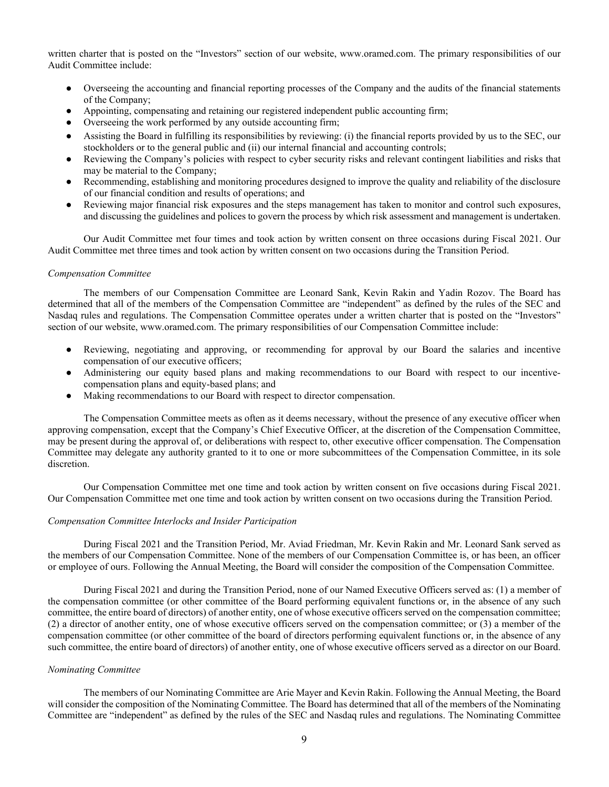written charter that is posted on the "Investors" section of our website, www.oramed.com. The primary responsibilities of our Audit Committee include:

- Overseeing the accounting and financial reporting processes of the Company and the audits of the financial statements of the Company;
- Appointing, compensating and retaining our registered independent public accounting firm;
- Overseeing the work performed by any outside accounting firm;
- Assisting the Board in fulfilling its responsibilities by reviewing: (i) the financial reports provided by us to the SEC, our stockholders or to the general public and (ii) our internal financial and accounting controls;
- Reviewing the Company's policies with respect to cyber security risks and relevant contingent liabilities and risks that may be material to the Company;
- Recommending, establishing and monitoring procedures designed to improve the quality and reliability of the disclosure of our financial condition and results of operations; and
- Reviewing major financial risk exposures and the steps management has taken to monitor and control such exposures, and discussing the guidelines and polices to govern the process by which risk assessment and management is undertaken.

Our Audit Committee met four times and took action by written consent on three occasions during Fiscal 2021. Our Audit Committee met three times and took action by written consent on two occasions during the Transition Period.

#### *Compensation Committee*

The members of our Compensation Committee are Leonard Sank, Kevin Rakin and Yadin Rozov. The Board has determined that all of the members of the Compensation Committee are "independent" as defined by the rules of the SEC and Nasdaq rules and regulations. The Compensation Committee operates under a written charter that is posted on the "Investors" section of our website, www.oramed.com. The primary responsibilities of our Compensation Committee include:

- Reviewing, negotiating and approving, or recommending for approval by our Board the salaries and incentive compensation of our executive officers;
- Administering our equity based plans and making recommendations to our Board with respect to our incentivecompensation plans and equity-based plans; and
- Making recommendations to our Board with respect to director compensation.

The Compensation Committee meets as often as it deems necessary, without the presence of any executive officer when approving compensation, except that the Company's Chief Executive Officer, at the discretion of the Compensation Committee, may be present during the approval of, or deliberations with respect to, other executive officer compensation. The Compensation Committee may delegate any authority granted to it to one or more subcommittees of the Compensation Committee, in its sole discretion.

Our Compensation Committee met one time and took action by written consent on five occasions during Fiscal 2021. Our Compensation Committee met one time and took action by written consent on two occasions during the Transition Period.

#### *Compensation Committee Interlocks and Insider Participation*

During Fiscal 2021 and the Transition Period, Mr. Aviad Friedman, Mr. Kevin Rakin and Mr. Leonard Sank served as the members of our Compensation Committee. None of the members of our Compensation Committee is, or has been, an officer or employee of ours. Following the Annual Meeting, the Board will consider the composition of the Compensation Committee.

During Fiscal 2021 and during the Transition Period, none of our Named Executive Officers served as: (1) a member of the compensation committee (or other committee of the Board performing equivalent functions or, in the absence of any such committee, the entire board of directors) of another entity, one of whose executive officers served on the compensation committee; (2) a director of another entity, one of whose executive officers served on the compensation committee; or (3) a member of the compensation committee (or other committee of the board of directors performing equivalent functions or, in the absence of any such committee, the entire board of directors) of another entity, one of whose executive officers served as a director on our Board.

#### *Nominating Committee*

The members of our Nominating Committee are Arie Mayer and Kevin Rakin. Following the Annual Meeting, the Board will consider the composition of the Nominating Committee. The Board has determined that all of the members of the Nominating Committee are "independent" as defined by the rules of the SEC and Nasdaq rules and regulations. The Nominating Committee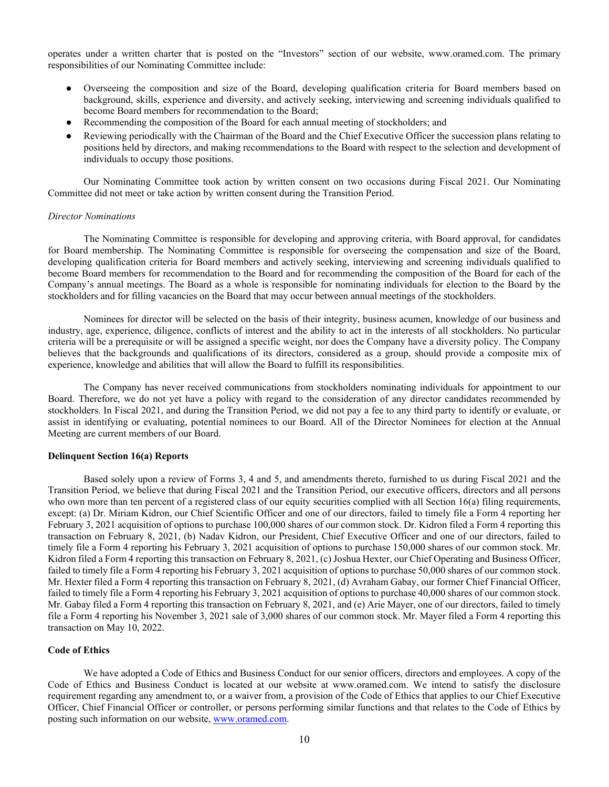operates under a written charter that is posted on the "Investors" section of our website, www.oramed.com. The primary responsibilities of our Nominating Committee include:

- Overseeing the composition and size of the Board, developing qualification criteria for Board members based on background, skills, experience and diversity, and actively seeking, interviewing and screening individuals qualified to become Board members for recommendation to the Board;
- Recommending the composition of the Board for each annual meeting of stockholders; and
- Reviewing periodically with the Chairman of the Board and the Chief Executive Officer the succession plans relating to positions held by directors, and making recommendations to the Board with respect to the selection and development of individuals to occupy those positions.

Our Nominating Committee took action by written consent on two occasions during Fiscal 2021. Our Nominating Committee did not meet or take action by written consent during the Transition Period.

#### *Director Nominations*

The Nominating Committee is responsible for developing and approving criteria, with Board approval, for candidates for Board membership. The Nominating Committee is responsible for overseeing the compensation and size of the Board, developing qualification criteria for Board members and actively seeking, interviewing and screening individuals qualified to become Board members for recommendation to the Board and for recommending the composition of the Board for each of the Company's annual meetings. The Board as a whole is responsible for nominating individuals for election to the Board by the stockholders and for filling vacancies on the Board that may occur between annual meetings of the stockholders.

Nominees for director will be selected on the basis of their integrity, business acumen, knowledge of our business and industry, age, experience, diligence, conflicts of interest and the ability to act in the interests of all stockholders. No particular criteria will be a prerequisite or will be assigned a specific weight, nor does the Company have a diversity policy. The Company believes that the backgrounds and qualifications of its directors, considered as a group, should provide a composite mix of experience, knowledge and abilities that will allow the Board to fulfill its responsibilities.

The Company has never received communications from stockholders nominating individuals for appointment to our Board. Therefore, we do not yet have a policy with regard to the consideration of any director candidates recommended by stockholders. In Fiscal 2021, and during the Transition Period, we did not pay a fee to any third party to identify or evaluate, or assist in identifying or evaluating, potential nominees to our Board. All of the Director Nominees for election at the Annual Meeting are current members of our Board.

#### **Delinquent Section 16(a) Reports**

Based solely upon a review of Forms 3, 4 and 5, and amendments thereto, furnished to us during Fiscal 2021 and the Transition Period, we believe that during Fiscal 2021 and the Transition Period, our executive officers, directors and all persons who own more than ten percent of a registered class of our equity securities complied with all Section 16(a) filing requirements, except: (a) Dr. Miriam Kidron, our Chief Scientific Officer and one of our directors, failed to timely file a Form 4 reporting her February 3, 2021 acquisition of options to purchase 100,000 shares of our common stock. Dr. Kidron filed a Form 4 reporting this transaction on February 8, 2021, (b) Nadav Kidron, our President, Chief Executive Officer and one of our directors, failed to timely file a Form 4 reporting his February 3, 2021 acquisition of options to purchase 150,000 shares of our common stock. Mr. Kidron filed a Form 4 reporting this transaction on February 8, 2021, (c) Joshua Hexter, our Chief Operating and Business Officer, failed to timely file a Form 4 reporting his February 3, 2021 acquisition of options to purchase 50,000 shares of our common stock. Mr. Hexter filed a Form 4 reporting this transaction on February 8, 2021, (d) Avraham Gabay, our former Chief Financial Officer, failed to timely file a Form 4 reporting his February 3, 2021 acquisition of options to purchase 40,000 shares of our common stock. Mr. Gabay filed a Form 4 reporting this transaction on February 8, 2021, and (e) Arie Mayer, one of our directors, failed to timely file a Form 4 reporting his November 3, 2021 sale of 3,000 shares of our common stock. Mr. Mayer filed a Form 4 reporting this transaction on May 10, 2022.

#### **Code of Ethics**

We have adopted a Code of Ethics and Business Conduct for our senior officers, directors and employees. A copy of the Code of Ethics and Business Conduct is located at our website at www.oramed.com. We intend to satisfy the disclosure requirement regarding any amendment to, or a waiver from, a provision of the Code of Ethics that applies to our Chief Executive Officer, Chief Financial Officer or controller, or persons performing similar functions and that relates to the Code of Ethics by posting such information on our website, www.oramed.com.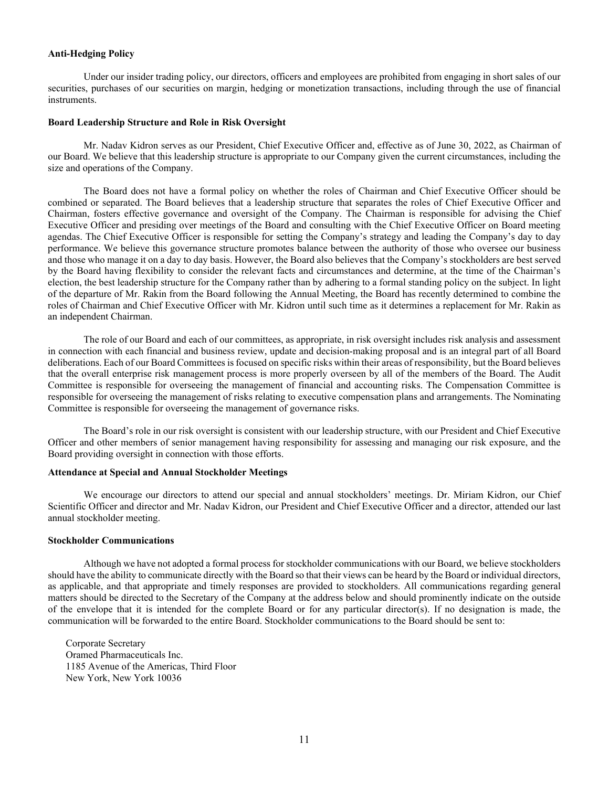## **Anti-Hedging Policy**

Under our insider trading policy, our directors, officers and employees are prohibited from engaging in short sales of our securities, purchases of our securities on margin, hedging or monetization transactions, including through the use of financial instruments.

#### **Board Leadership Structure and Role in Risk Oversight**

Mr. Nadav Kidron serves as our President, Chief Executive Officer and, effective as of June 30, 2022, as Chairman of our Board. We believe that this leadership structure is appropriate to our Company given the current circumstances, including the size and operations of the Company.

The Board does not have a formal policy on whether the roles of Chairman and Chief Executive Officer should be combined or separated. The Board believes that a leadership structure that separates the roles of Chief Executive Officer and Chairman, fosters effective governance and oversight of the Company. The Chairman is responsible for advising the Chief Executive Officer and presiding over meetings of the Board and consulting with the Chief Executive Officer on Board meeting agendas. The Chief Executive Officer is responsible for setting the Company's strategy and leading the Company's day to day performance. We believe this governance structure promotes balance between the authority of those who oversee our business and those who manage it on a day to day basis. However, the Board also believes that the Company's stockholders are best served by the Board having flexibility to consider the relevant facts and circumstances and determine, at the time of the Chairman's election, the best leadership structure for the Company rather than by adhering to a formal standing policy on the subject. In light of the departure of Mr. Rakin from the Board following the Annual Meeting, the Board has recently determined to combine the roles of Chairman and Chief Executive Officer with Mr. Kidron until such time as it determines a replacement for Mr. Rakin as an independent Chairman.

The role of our Board and each of our committees, as appropriate, in risk oversight includes risk analysis and assessment in connection with each financial and business review, update and decision-making proposal and is an integral part of all Board deliberations. Each of our Board Committees is focused on specific risks within their areas of responsibility, but the Board believes that the overall enterprise risk management process is more properly overseen by all of the members of the Board. The Audit Committee is responsible for overseeing the management of financial and accounting risks. The Compensation Committee is responsible for overseeing the management of risks relating to executive compensation plans and arrangements. The Nominating Committee is responsible for overseeing the management of governance risks.

The Board's role in our risk oversight is consistent with our leadership structure, with our President and Chief Executive Officer and other members of senior management having responsibility for assessing and managing our risk exposure, and the Board providing oversight in connection with those efforts.

#### **Attendance at Special and Annual Stockholder Meetings**

We encourage our directors to attend our special and annual stockholders' meetings. Dr. Miriam Kidron, our Chief Scientific Officer and director and Mr. Nadav Kidron, our President and Chief Executive Officer and a director, attended our last annual stockholder meeting.

### **Stockholder Communications**

Although we have not adopted a formal process for stockholder communications with our Board, we believe stockholders should have the ability to communicate directly with the Board so that their views can be heard by the Board or individual directors, as applicable, and that appropriate and timely responses are provided to stockholders. All communications regarding general matters should be directed to the Secretary of the Company at the address below and should prominently indicate on the outside of the envelope that it is intended for the complete Board or for any particular director(s). If no designation is made, the communication will be forwarded to the entire Board. Stockholder communications to the Board should be sent to:

Corporate Secretary Oramed Pharmaceuticals Inc. 1185 Avenue of the Americas, Third Floor New York, New York 10036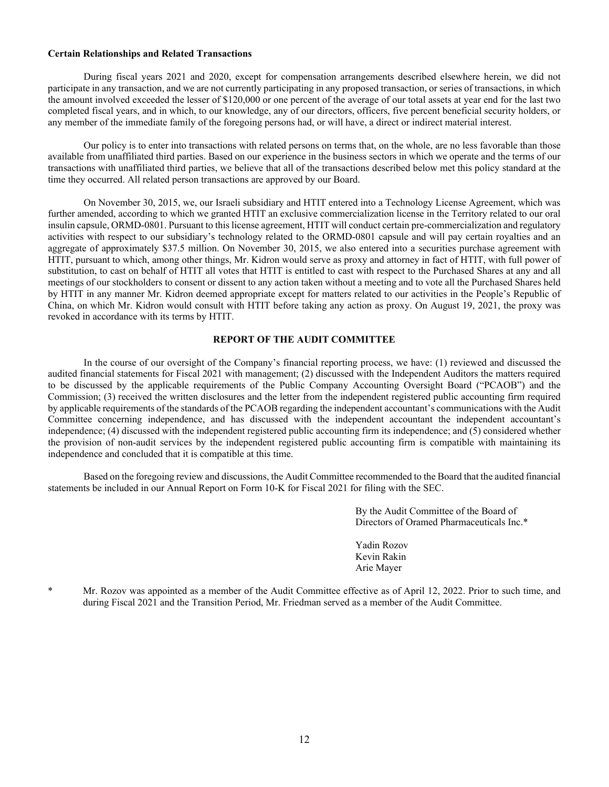#### **Certain Relationships and Related Transactions**

During fiscal years 2021 and 2020, except for compensation arrangements described elsewhere herein, we did not participate in any transaction, and we are not currently participating in any proposed transaction, or series of transactions, in which the amount involved exceeded the lesser of \$120,000 or one percent of the average of our total assets at year end for the last two completed fiscal years, and in which, to our knowledge, any of our directors, officers, five percent beneficial security holders, or any member of the immediate family of the foregoing persons had, or will have, a direct or indirect material interest.

Our policy is to enter into transactions with related persons on terms that, on the whole, are no less favorable than those available from unaffiliated third parties. Based on our experience in the business sectors in which we operate and the terms of our transactions with unaffiliated third parties, we believe that all of the transactions described below met this policy standard at the time they occurred. All related person transactions are approved by our Board.

On November 30, 2015, we, our Israeli subsidiary and HTIT entered into a Technology License Agreement, which was further amended, according to which we granted HTIT an exclusive commercialization license in the Territory related to our oral insulin capsule, ORMD-0801. Pursuant to this license agreement, HTIT will conduct certain pre-commercialization and regulatory activities with respect to our subsidiary's technology related to the ORMD-0801 capsule and will pay certain royalties and an aggregate of approximately \$37.5 million. On November 30, 2015, we also entered into a securities purchase agreement with HTIT, pursuant to which, among other things, Mr. Kidron would serve as proxy and attorney in fact of HTIT, with full power of substitution, to cast on behalf of HTIT all votes that HTIT is entitled to cast with respect to the Purchased Shares at any and all meetings of our stockholders to consent or dissent to any action taken without a meeting and to vote all the Purchased Shares held by HTIT in any manner Mr. Kidron deemed appropriate except for matters related to our activities in the People's Republic of China, on which Mr. Kidron would consult with HTIT before taking any action as proxy. On August 19, 2021, the proxy was revoked in accordance with its terms by HTIT.

#### **REPORT OF THE AUDIT COMMITTEE**

In the course of our oversight of the Company's financial reporting process, we have: (1) reviewed and discussed the audited financial statements for Fiscal 2021 with management; (2) discussed with the Independent Auditors the matters required to be discussed by the applicable requirements of the Public Company Accounting Oversight Board ("PCAOB") and the Commission; (3) received the written disclosures and the letter from the independent registered public accounting firm required by applicable requirements of the standards of the PCAOB regarding the independent accountant's communications with the Audit Committee concerning independence, and has discussed with the independent accountant the independent accountant's independence; (4) discussed with the independent registered public accounting firm its independence; and (5) considered whether the provision of non-audit services by the independent registered public accounting firm is compatible with maintaining its independence and concluded that it is compatible at this time.

Based on the foregoing review and discussions, the Audit Committee recommended to the Board that the audited financial statements be included in our Annual Report on Form 10-K for Fiscal 2021 for filing with the SEC.

> By the Audit Committee of the Board of Directors of Oramed Pharmaceuticals Inc.\*

 Yadin Rozov Kevin Rakin Arie Mayer

\* Mr. Rozov was appointed as a member of the Audit Committee effective as of April 12, 2022. Prior to such time, and during Fiscal 2021 and the Transition Period, Mr. Friedman served as a member of the Audit Committee.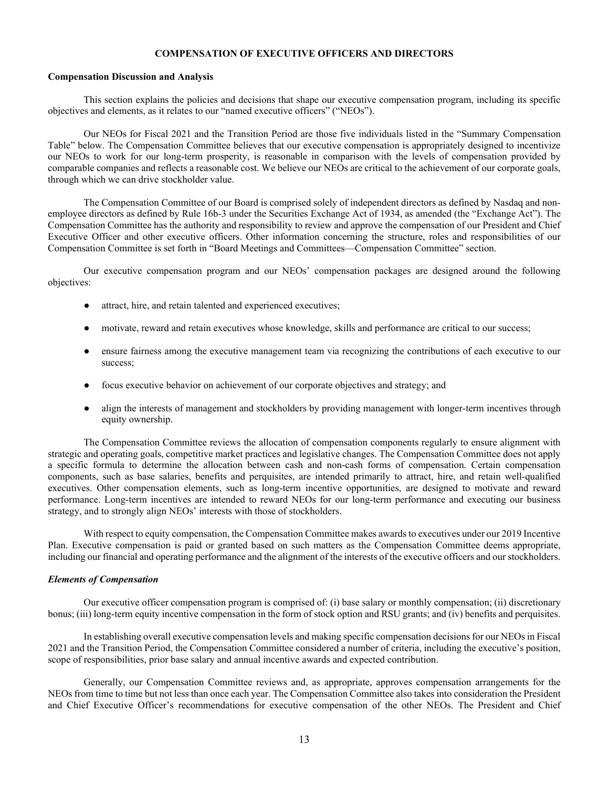#### **COMPENSATION OF EXECUTIVE OFFICERS AND DIRECTORS**

#### **Compensation Discussion and Analysis**

This section explains the policies and decisions that shape our executive compensation program, including its specific objectives and elements, as it relates to our "named executive officers" ("NEOs").

Our NEOs for Fiscal 2021 and the Transition Period are those five individuals listed in the "Summary Compensation Table" below. The Compensation Committee believes that our executive compensation is appropriately designed to incentivize our NEOs to work for our long-term prosperity, is reasonable in comparison with the levels of compensation provided by comparable companies and reflects a reasonable cost. We believe our NEOs are critical to the achievement of our corporate goals, through which we can drive stockholder value.

The Compensation Committee of our Board is comprised solely of independent directors as defined by Nasdaq and nonemployee directors as defined by Rule 16b-3 under the Securities Exchange Act of 1934, as amended (the "Exchange Act"). The Compensation Committee has the authority and responsibility to review and approve the compensation of our President and Chief Executive Officer and other executive officers. Other information concerning the structure, roles and responsibilities of our Compensation Committee is set forth in "Board Meetings and Committees—Compensation Committee" section.

Our executive compensation program and our NEOs' compensation packages are designed around the following objectives:

- attract, hire, and retain talented and experienced executives;
- motivate, reward and retain executives whose knowledge, skills and performance are critical to our success;
- ensure fairness among the executive management team via recognizing the contributions of each executive to our success;
- focus executive behavior on achievement of our corporate objectives and strategy; and
- align the interests of management and stockholders by providing management with longer-term incentives through equity ownership.

The Compensation Committee reviews the allocation of compensation components regularly to ensure alignment with strategic and operating goals, competitive market practices and legislative changes. The Compensation Committee does not apply a specific formula to determine the allocation between cash and non-cash forms of compensation. Certain compensation components, such as base salaries, benefits and perquisites, are intended primarily to attract, hire, and retain well-qualified executives. Other compensation elements, such as long-term incentive opportunities, are designed to motivate and reward performance. Long-term incentives are intended to reward NEOs for our long-term performance and executing our business strategy, and to strongly align NEOs' interests with those of stockholders.

With respect to equity compensation, the Compensation Committee makes awards to executives under our 2019 Incentive Plan. Executive compensation is paid or granted based on such matters as the Compensation Committee deems appropriate, including our financial and operating performance and the alignment of the interests of the executive officers and our stockholders.

#### *Elements of Compensation*

Our executive officer compensation program is comprised of: (i) base salary or monthly compensation; (ii) discretionary bonus; (iii) long-term equity incentive compensation in the form of stock option and RSU grants; and (iv) benefits and perquisites.

In establishing overall executive compensation levels and making specific compensation decisions for our NEOs in Fiscal 2021 and the Transition Period, the Compensation Committee considered a number of criteria, including the executive's position, scope of responsibilities, prior base salary and annual incentive awards and expected contribution.

Generally, our Compensation Committee reviews and, as appropriate, approves compensation arrangements for the NEOs from time to time but not less than once each year. The Compensation Committee also takes into consideration the President and Chief Executive Officer's recommendations for executive compensation of the other NEOs. The President and Chief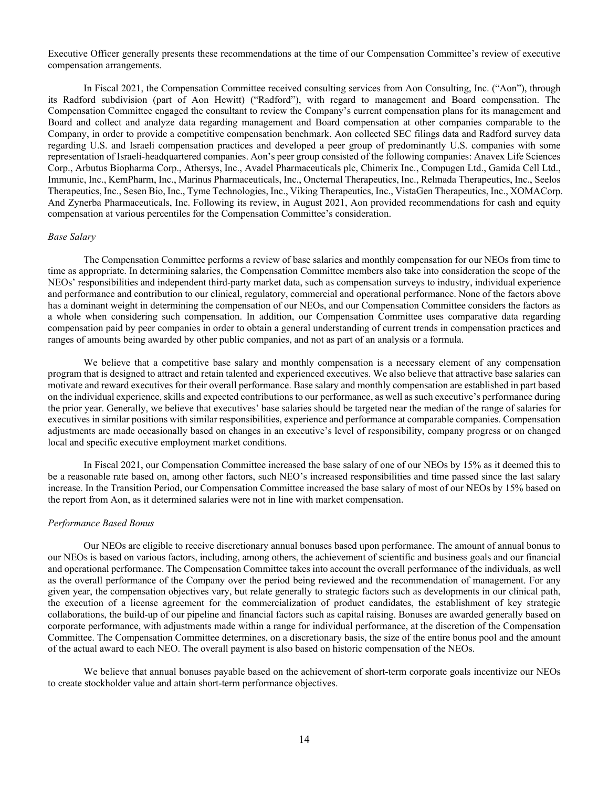Executive Officer generally presents these recommendations at the time of our Compensation Committee's review of executive compensation arrangements.

In Fiscal 2021, the Compensation Committee received consulting services from Aon Consulting, Inc. ("Aon"), through its Radford subdivision (part of Aon Hewitt) ("Radford"), with regard to management and Board compensation. The Compensation Committee engaged the consultant to review the Company's current compensation plans for its management and Board and collect and analyze data regarding management and Board compensation at other companies comparable to the Company, in order to provide a competitive compensation benchmark. Aon collected SEC filings data and Radford survey data regarding U.S. and Israeli compensation practices and developed a peer group of predominantly U.S. companies with some representation of Israeli-headquartered companies. Aon's peer group consisted of the following companies: Anavex Life Sciences Corp., Arbutus Biopharma Corp., Athersys, Inc., Avadel Pharmaceuticals plc, Chimerix Inc., Compugen Ltd., Gamida Cell Ltd., Immunic, Inc., KemPharm, Inc., Marinus Pharmaceuticals, Inc., Oncternal Therapeutics, Inc., Relmada Therapeutics, Inc., Seelos Therapeutics, Inc., Sesen Bio, Inc., Tyme Technologies, Inc., Viking Therapeutics, Inc., VistaGen Therapeutics, Inc., XOMACorp. And Zynerba Pharmaceuticals, Inc. Following its review, in August 2021, Aon provided recommendations for cash and equity compensation at various percentiles for the Compensation Committee's consideration.

#### *Base Salary*

The Compensation Committee performs a review of base salaries and monthly compensation for our NEOs from time to time as appropriate. In determining salaries, the Compensation Committee members also take into consideration the scope of the NEOs' responsibilities and independent third-party market data, such as compensation surveys to industry, individual experience and performance and contribution to our clinical, regulatory, commercial and operational performance. None of the factors above has a dominant weight in determining the compensation of our NEOs, and our Compensation Committee considers the factors as a whole when considering such compensation. In addition, our Compensation Committee uses comparative data regarding compensation paid by peer companies in order to obtain a general understanding of current trends in compensation practices and ranges of amounts being awarded by other public companies, and not as part of an analysis or a formula.

We believe that a competitive base salary and monthly compensation is a necessary element of any compensation program that is designed to attract and retain talented and experienced executives. We also believe that attractive base salaries can motivate and reward executives for their overall performance. Base salary and monthly compensation are established in part based on the individual experience, skills and expected contributions to our performance, as well as such executive's performance during the prior year. Generally, we believe that executives' base salaries should be targeted near the median of the range of salaries for executives in similar positions with similar responsibilities, experience and performance at comparable companies. Compensation adjustments are made occasionally based on changes in an executive's level of responsibility, company progress or on changed local and specific executive employment market conditions.

In Fiscal 2021, our Compensation Committee increased the base salary of one of our NEOs by 15% as it deemed this to be a reasonable rate based on, among other factors, such NEO's increased responsibilities and time passed since the last salary increase. In the Transition Period, our Compensation Committee increased the base salary of most of our NEOs by 15% based on the report from Aon, as it determined salaries were not in line with market compensation.

#### *Performance Based Bonus*

Our NEOs are eligible to receive discretionary annual bonuses based upon performance. The amount of annual bonus to our NEOs is based on various factors, including, among others, the achievement of scientific and business goals and our financial and operational performance. The Compensation Committee takes into account the overall performance of the individuals, as well as the overall performance of the Company over the period being reviewed and the recommendation of management. For any given year, the compensation objectives vary, but relate generally to strategic factors such as developments in our clinical path, the execution of a license agreement for the commercialization of product candidates, the establishment of key strategic collaborations, the build-up of our pipeline and financial factors such as capital raising. Bonuses are awarded generally based on corporate performance, with adjustments made within a range for individual performance, at the discretion of the Compensation Committee. The Compensation Committee determines, on a discretionary basis, the size of the entire bonus pool and the amount of the actual award to each NEO. The overall payment is also based on historic compensation of the NEOs.

We believe that annual bonuses payable based on the achievement of short-term corporate goals incentivize our NEOs to create stockholder value and attain short-term performance objectives.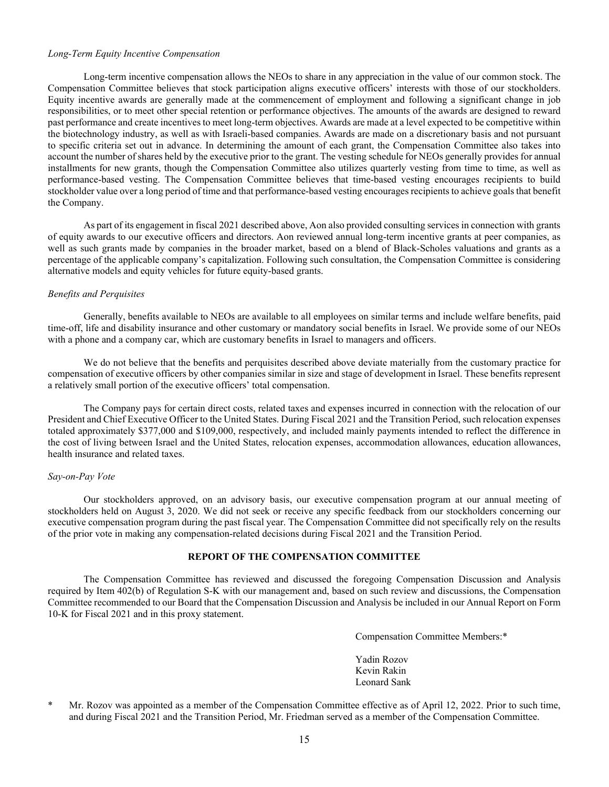#### *Long-Term Equity Incentive Compensation*

Long-term incentive compensation allows the NEOs to share in any appreciation in the value of our common stock. The Compensation Committee believes that stock participation aligns executive officers' interests with those of our stockholders. Equity incentive awards are generally made at the commencement of employment and following a significant change in job responsibilities, or to meet other special retention or performance objectives. The amounts of the awards are designed to reward past performance and create incentives to meet long-term objectives. Awards are made at a level expected to be competitive within the biotechnology industry, as well as with Israeli-based companies. Awards are made on a discretionary basis and not pursuant to specific criteria set out in advance. In determining the amount of each grant, the Compensation Committee also takes into account the number of shares held by the executive prior to the grant. The vesting schedule for NEOs generally provides for annual installments for new grants, though the Compensation Committee also utilizes quarterly vesting from time to time, as well as performance-based vesting. The Compensation Committee believes that time-based vesting encourages recipients to build stockholder value over a long period of time and that performance-based vesting encourages recipients to achieve goals that benefit the Company.

As part of its engagement in fiscal 2021 described above, Aon also provided consulting services in connection with grants of equity awards to our executive officers and directors. Aon reviewed annual long-term incentive grants at peer companies, as well as such grants made by companies in the broader market, based on a blend of Black-Scholes valuations and grants as a percentage of the applicable company's capitalization. Following such consultation, the Compensation Committee is considering alternative models and equity vehicles for future equity-based grants.

#### *Benefits and Perquisites*

Generally, benefits available to NEOs are available to all employees on similar terms and include welfare benefits, paid time-off, life and disability insurance and other customary or mandatory social benefits in Israel. We provide some of our NEOs with a phone and a company car, which are customary benefits in Israel to managers and officers.

We do not believe that the benefits and perquisites described above deviate materially from the customary practice for compensation of executive officers by other companies similar in size and stage of development in Israel. These benefits represent a relatively small portion of the executive officers' total compensation.

The Company pays for certain direct costs, related taxes and expenses incurred in connection with the relocation of our President and Chief Executive Officer to the United States. During Fiscal 2021 and the Transition Period, such relocation expenses totaled approximately \$377,000 and \$109,000, respectively, and included mainly payments intended to reflect the difference in the cost of living between Israel and the United States, relocation expenses, accommodation allowances, education allowances, health insurance and related taxes.

#### *Say-on-Pay Vote*

Our stockholders approved, on an advisory basis, our executive compensation program at our annual meeting of stockholders held on August 3, 2020. We did not seek or receive any specific feedback from our stockholders concerning our executive compensation program during the past fiscal year. The Compensation Committee did not specifically rely on the results of the prior vote in making any compensation-related decisions during Fiscal 2021 and the Transition Period.

## **REPORT OF THE COMPENSATION COMMITTEE**

The Compensation Committee has reviewed and discussed the foregoing Compensation Discussion and Analysis required by Item 402(b) of Regulation S-K with our management and, based on such review and discussions, the Compensation Committee recommended to our Board that the Compensation Discussion and Analysis be included in our Annual Report on Form 10-K for Fiscal 2021 and in this proxy statement.

Compensation Committee Members:\*

 Yadin Rozov Kevin Rakin Leonard Sank

\* Mr. Rozov was appointed as a member of the Compensation Committee effective as of April 12, 2022. Prior to such time, and during Fiscal 2021 and the Transition Period, Mr. Friedman served as a member of the Compensation Committee.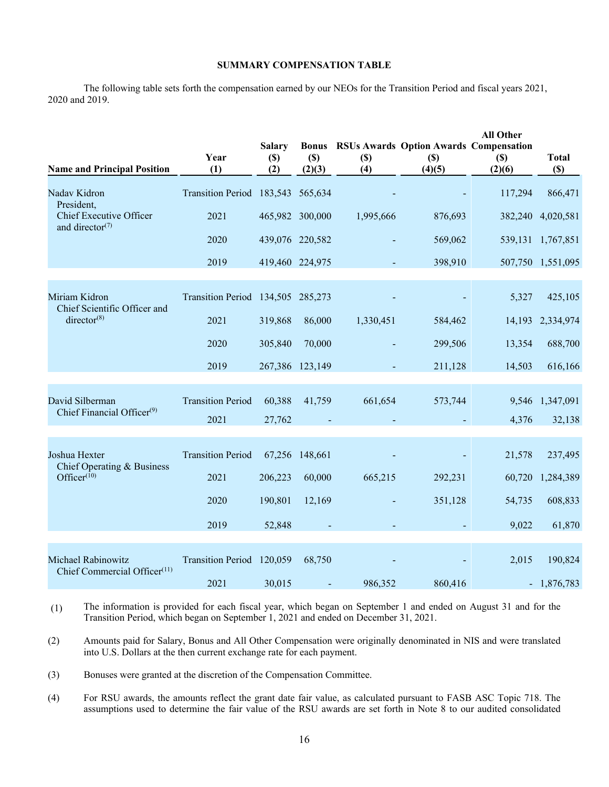## **SUMMARY COMPENSATION TABLE**

The following table sets forth the compensation earned by our NEOs for the Transition Period and fiscal years 2021, 2020 and 2019.

| <b>Name and Principal Position</b>                                    | Year<br>(1)                       | <b>Salary</b><br>$(\$)$<br>(2) | (S)<br>(2)(3)   | $(\$)$<br>(4) | <b>Bonus RSUs Awards Option Awards Compensation</b><br>$(S)$<br>(4)(5) | <b>All Other</b><br>(S)<br>(2)(6) | <b>Total</b><br>$(\$)$ |
|-----------------------------------------------------------------------|-----------------------------------|--------------------------------|-----------------|---------------|------------------------------------------------------------------------|-----------------------------------|------------------------|
| Nadav Kidron<br>President,                                            | Transition Period 183,543 565,634 |                                |                 |               |                                                                        | 117,294                           | 866,471                |
| Chief Executive Officer<br>and director <sup>(7)</sup>                | 2021                              |                                | 465,982 300,000 | 1,995,666     | 876,693                                                                |                                   | 382,240 4,020,581      |
|                                                                       | 2020                              | 439,076 220,582                |                 |               | 569,062                                                                |                                   | 539,131 1,767,851      |
|                                                                       | 2019                              | 419,460 224,975                |                 |               | 398,910                                                                |                                   | 507,750 1,551,095      |
| Miriam Kidron<br>Chief Scientific Officer and                         | Transition Period 134,505 285,273 |                                |                 |               |                                                                        | 5,327                             | 425,105                |
| director $(8)$                                                        | 2021                              | 319,868                        | 86,000          | 1,330,451     | 584,462                                                                | 14,193                            | 2,334,974              |
|                                                                       | 2020                              | 305,840                        | 70,000          |               | 299,506                                                                | 13,354                            | 688,700                |
|                                                                       | 2019                              | 267,386 123,149                |                 |               | 211,128                                                                | 14,503                            | 616,166                |
| David Silberman<br>Chief Financial Officer $(9)$                      | <b>Transition Period</b><br>2021  | 60,388<br>27,762               | 41,759          | 661,654       | 573,744                                                                | 9,546<br>4,376                    | 1,347,091<br>32,138    |
| Joshua Hexter<br>Chief Operating & Business                           | <b>Transition Period</b>          |                                | 67,256 148,661  |               |                                                                        | 21,578                            | 237,495                |
| Office $r$ <sup>(10)</sup>                                            | 2021                              | 206,223                        | 60,000          | 665,215       | 292,231                                                                | 60,720                            | 1,284,389              |
|                                                                       | 2020                              | 190,801                        | 12,169          |               | 351,128                                                                | 54,735                            | 608,833                |
|                                                                       | 2019                              | 52,848                         |                 |               |                                                                        | 9,022                             | 61,870                 |
| <b>Michael Rabinowitz</b><br>Chief Commercial Officer <sup>(11)</sup> | Transition Period 120,059         |                                | 68,750          |               |                                                                        | 2,015                             | 190,824                |
|                                                                       | 2021                              | 30,015                         |                 | 986,352       | 860,416                                                                |                                   | $-1,876,783$           |

<sup>(1)</sup> The information is provided for each fiscal year, which began on September 1 and ended on August 31 and for the Transition Period, which began on September 1, 2021 and ended on December 31, 2021.

(4) For RSU awards, the amounts reflect the grant date fair value, as calculated pursuant to FASB ASC Topic 718. The assumptions used to determine the fair value of the RSU awards are set forth in Note 8 to our audited consolidated

<sup>(2)</sup> Amounts paid for Salary, Bonus and All Other Compensation were originally denominated in NIS and were translated into U.S. Dollars at the then current exchange rate for each payment.

<sup>(3)</sup> Bonuses were granted at the discretion of the Compensation Committee.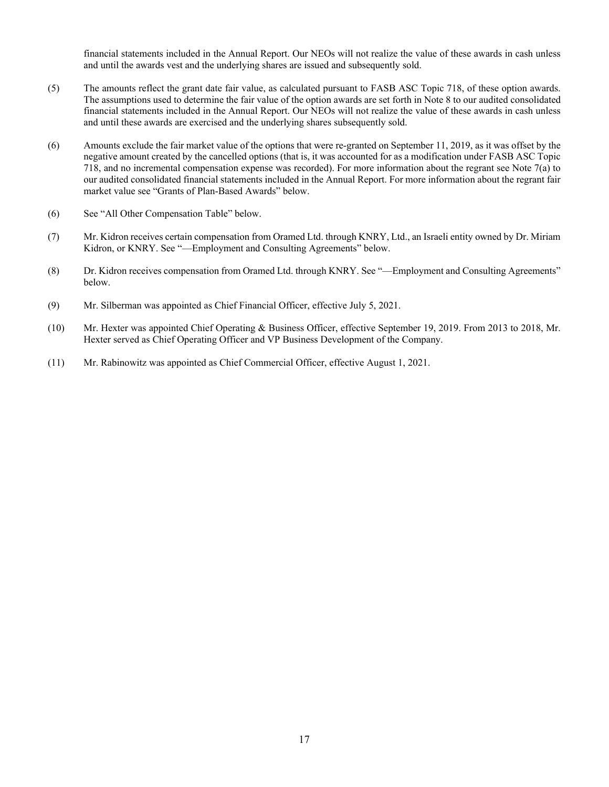financial statements included in the Annual Report. Our NEOs will not realize the value of these awards in cash unless and until the awards vest and the underlying shares are issued and subsequently sold.

- (5) The amounts reflect the grant date fair value, as calculated pursuant to FASB ASC Topic 718, of these option awards. The assumptions used to determine the fair value of the option awards are set forth in Note 8 to our audited consolidated financial statements included in the Annual Report. Our NEOs will not realize the value of these awards in cash unless and until these awards are exercised and the underlying shares subsequently sold.
- (6) Amounts exclude the fair market value of the options that were re-granted on September 11, 2019, as it was offset by the negative amount created by the cancelled options (that is, it was accounted for as a modification under FASB ASC Topic 718, and no incremental compensation expense was recorded). For more information about the regrant see Note 7(a) to our audited consolidated financial statements included in the Annual Report. For more information about the regrant fair market value see "Grants of Plan-Based Awards" below.
- (6) See "All Other Compensation Table" below.
- (7) Mr. Kidron receives certain compensation from Oramed Ltd. through KNRY, Ltd., an Israeli entity owned by Dr. Miriam Kidron, or KNRY. See "—Employment and Consulting Agreements" below.
- (8) Dr. Kidron receives compensation from Oramed Ltd. through KNRY. See "—Employment and Consulting Agreements" below.
- (9) Mr. Silberman was appointed as Chief Financial Officer, effective July 5, 2021.
- (10) Mr. Hexter was appointed Chief Operating & Business Officer, effective September 19, 2019. From 2013 to 2018, Mr. Hexter served as Chief Operating Officer and VP Business Development of the Company.
- (11) Mr. Rabinowitz was appointed as Chief Commercial Officer, effective August 1, 2021.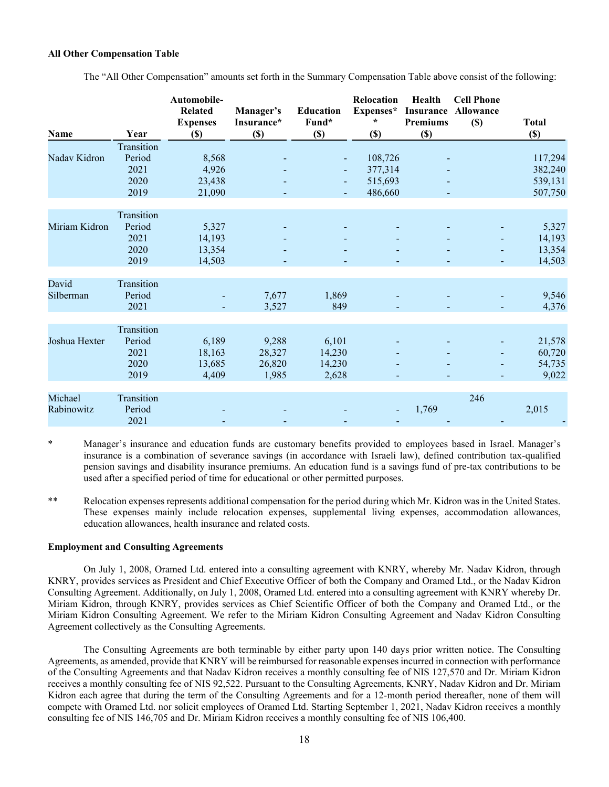## **All Other Compensation Table**

The "All Other Compensation" amounts set forth in the Summary Compensation Table above consist of the following:

| Name          | Year       | Automobile-<br><b>Related</b><br><b>Expenses</b><br>$(\$)$ | Manager's<br>Insurance*<br>$(\$)$ | <b>Education</b><br>Fund*<br>$(\$)$ | Relocation<br>Expenses*<br>$\star$<br>(S) | Health<br><b>Insurance</b><br><b>Premiums</b><br>$(\$)$ | <b>Cell Phone</b><br><b>Allowance</b><br>$\left( \mathbb{S}\right)$ | <b>Total</b><br>$(\$)$ |
|---------------|------------|------------------------------------------------------------|-----------------------------------|-------------------------------------|-------------------------------------------|---------------------------------------------------------|---------------------------------------------------------------------|------------------------|
|               | Transition |                                                            |                                   |                                     |                                           |                                                         |                                                                     |                        |
| Nadav Kidron  | Period     | 8,568                                                      |                                   |                                     | 108,726                                   |                                                         |                                                                     | 117,294                |
|               | 2021       | 4,926                                                      |                                   |                                     | 377,314                                   |                                                         |                                                                     | 382,240                |
|               | 2020       | 23,438                                                     |                                   |                                     | 515,693                                   |                                                         |                                                                     | 539,131                |
|               | 2019       | 21,090                                                     |                                   | $\blacksquare$                      | 486,660                                   |                                                         |                                                                     | 507,750                |
|               | Transition |                                                            |                                   |                                     |                                           |                                                         |                                                                     |                        |
| Miriam Kidron | Period     | 5,327                                                      |                                   |                                     |                                           |                                                         |                                                                     | 5,327                  |
|               | 2021       | 14,193                                                     |                                   |                                     |                                           |                                                         |                                                                     | 14,193                 |
|               | 2020       | 13,354                                                     |                                   |                                     |                                           |                                                         |                                                                     | 13,354                 |
|               | 2019       | 14,503                                                     |                                   |                                     |                                           |                                                         |                                                                     | 14,503                 |
|               |            |                                                            |                                   |                                     |                                           |                                                         |                                                                     |                        |
| David         | Transition |                                                            |                                   |                                     |                                           |                                                         |                                                                     |                        |
| Silberman     | Period     |                                                            | 7,677                             | 1,869                               |                                           |                                                         |                                                                     | 9,546                  |
|               | 2021       |                                                            | 3,527                             | 849                                 |                                           |                                                         |                                                                     | 4,376                  |
|               | Transition |                                                            |                                   |                                     |                                           |                                                         |                                                                     |                        |
| Joshua Hexter | Period     | 6,189                                                      | 9,288                             | 6,101                               |                                           |                                                         |                                                                     | 21,578                 |
|               | 2021       | 18,163                                                     | 28,327                            | 14,230                              |                                           |                                                         | $\blacksquare$                                                      | 60,720                 |
|               | 2020       | 13,685                                                     | 26,820                            | 14,230                              |                                           |                                                         |                                                                     | 54,735                 |
|               | 2019       | 4,409                                                      | 1,985                             | 2,628                               |                                           |                                                         | ۰                                                                   | 9,022                  |
|               |            |                                                            |                                   |                                     |                                           |                                                         |                                                                     |                        |
| Michael       | Transition |                                                            |                                   |                                     |                                           |                                                         | 246                                                                 |                        |
| Rabinowitz    | Period     |                                                            |                                   |                                     |                                           | 1,769                                                   |                                                                     | 2,015                  |
|               | 2021       |                                                            |                                   |                                     |                                           |                                                         |                                                                     |                        |

\* Manager's insurance and education funds are customary benefits provided to employees based in Israel. Manager's insurance is a combination of severance savings (in accordance with Israeli law), defined contribution tax-qualified pension savings and disability insurance premiums. An education fund is a savings fund of pre-tax contributions to be used after a specified period of time for educational or other permitted purposes.

\*\* Relocation expenses represents additional compensation for the period during which Mr. Kidron was in the United States. These expenses mainly include relocation expenses, supplemental living expenses, accommodation allowances, education allowances, health insurance and related costs.

## **Employment and Consulting Agreements**

On July 1, 2008, Oramed Ltd. entered into a consulting agreement with KNRY, whereby Mr. Nadav Kidron, through KNRY, provides services as President and Chief Executive Officer of both the Company and Oramed Ltd., or the Nadav Kidron Consulting Agreement. Additionally, on July 1, 2008, Oramed Ltd. entered into a consulting agreement with KNRY whereby Dr. Miriam Kidron, through KNRY, provides services as Chief Scientific Officer of both the Company and Oramed Ltd., or the Miriam Kidron Consulting Agreement. We refer to the Miriam Kidron Consulting Agreement and Nadav Kidron Consulting Agreement collectively as the Consulting Agreements.

The Consulting Agreements are both terminable by either party upon 140 days prior written notice. The Consulting Agreements, as amended, provide that KNRY will be reimbursed for reasonable expenses incurred in connection with performance of the Consulting Agreements and that Nadav Kidron receives a monthly consulting fee of NIS 127,570 and Dr. Miriam Kidron receives a monthly consulting fee of NIS 92,522. Pursuant to the Consulting Agreements, KNRY, Nadav Kidron and Dr. Miriam Kidron each agree that during the term of the Consulting Agreements and for a 12-month period thereafter, none of them will compete with Oramed Ltd. nor solicit employees of Oramed Ltd. Starting September 1, 2021, Nadav Kidron receives a monthly consulting fee of NIS 146,705 and Dr. Miriam Kidron receives a monthly consulting fee of NIS 106,400.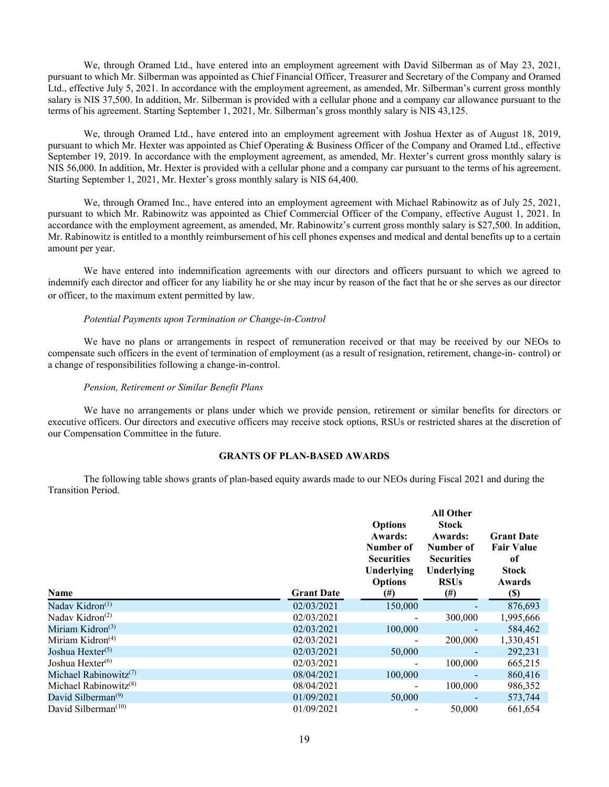We, through Oramed Ltd., have entered into an employment agreement with David Silberman as of May 23, 2021, pursuant to which Mr. Silberman was appointed as Chief Financial Officer, Treasurer and Secretary of the Company and Oramed Ltd., effective July 5, 2021. In accordance with the employment agreement, as amended, Mr. Silberman's current gross monthly salary is NIS 37,500. In addition, Mr. Silberman is provided with a cellular phone and a company car allowance pursuant to the terms of his agreement. Starting September 1, 2021, Mr. Silberman's gross monthly salary is NIS 43,125.

We, through Oramed Ltd., have entered into an employment agreement with Joshua Hexter as of August 18, 2019, pursuant to which Mr. Hexter was appointed as Chief Operating & Business Officer of the Company and Oramed Ltd., effective September 19, 2019. In accordance with the employment agreement, as amended, Mr. Hexter's current gross monthly salary is NIS 56,000. In addition, Mr. Hexter is provided with a cellular phone and a company car pursuant to the terms of his agreement. Starting September 1, 2021, Mr. Hexter's gross monthly salary is NIS 64,400.

We, through Oramed Inc., have entered into an employment agreement with Michael Rabinowitz as of July 25, 2021, pursuant to which Mr. Rabinowitz was appointed as Chief Commercial Officer of the Company, effective August 1, 2021. In accordance with the employment agreement, as amended, Mr. Rabinowitz's current gross monthly salary is \$27,500. In addition, Mr. Rabinowitz is entitled to a monthly reimbursement of his cell phones expenses and medical and dental benefits up to a certain amount per year.

We have entered into indemnification agreements with our directors and officers pursuant to which we agreed to indemnify each director and officer for any liability he or she may incur by reason of the fact that he or she serves as our director or officer, to the maximum extent permitted by law.

#### *Potential Payments upon Termination or Change-in-Control*

We have no plans or arrangements in respect of remuneration received or that may be received by our NEOs to compensate such officers in the event of termination of employment (as a result of resignation, retirement, change-in- control) or a change of responsibilities following a change-in-control.

#### *Pension, Retirement or Similar Benefit Plans*

We have no arrangements or plans under which we provide pension, retirement or similar benefits for directors or executive officers. Our directors and executive officers may receive stock options, RSUs or restricted shares at the discretion of our Compensation Committee in the future.

### **GRANTS OF PLAN-BASED AWARDS**

The following table shows grants of plan-based equity awards made to our NEOs during Fiscal 2021 and during the Transition Period.

| Name                                           | <b>Grant Date</b> | <b>Options</b><br><b>Awards:</b><br>Number of<br><b>Securities</b><br>Underlying<br><b>Options</b><br>(#) | <b>All Other</b><br><b>Stock</b><br><b>Awards:</b><br>Number of<br><b>Securities</b><br>Underlying<br><b>RSUs</b><br>$(\#)$ | <b>Grant Date</b><br><b>Fair Value</b><br>of<br><b>Stock</b><br>Awards<br><b>(\$)</b> |
|------------------------------------------------|-------------------|-----------------------------------------------------------------------------------------------------------|-----------------------------------------------------------------------------------------------------------------------------|---------------------------------------------------------------------------------------|
| Nadav Kidron <sup>(1)</sup>                    | 02/03/2021        | 150,000                                                                                                   |                                                                                                                             | 876,693                                                                               |
| Naday Kidron <sup><math>(2)</math></sup>       | 02/03/2021        |                                                                                                           | 300,000                                                                                                                     | 1,995,666                                                                             |
| Miriam Kidron <sup>(3)</sup>                   | 02/03/2021        | 100,000                                                                                                   |                                                                                                                             | 584,462                                                                               |
| Miriam Kidron $(4)$                            | 02/03/2021        |                                                                                                           | 200,000                                                                                                                     | 1,330,451                                                                             |
| Joshua Hexter <sup>(5)</sup>                   | 02/03/2021        | 50,000                                                                                                    |                                                                                                                             | 292,231                                                                               |
| Joshua Hexter <sup>(6)</sup>                   | 02/03/2021        |                                                                                                           | 100,000                                                                                                                     | 665,215                                                                               |
| Michael Rabinowitz <sup><math>(7)</math></sup> | 08/04/2021        | 100,000                                                                                                   | $\overline{\phantom{a}}$                                                                                                    | 860,416                                                                               |
| Michael Rabinowitz <sup><math>(8)</math></sup> | 08/04/2021        |                                                                                                           | 100,000                                                                                                                     | 986,352                                                                               |
| David Silberman <sup>(9)</sup>                 | 01/09/2021        | 50,000                                                                                                    |                                                                                                                             | 573,744                                                                               |
| David Silberman $(10)$                         | 01/09/2021        |                                                                                                           | 50,000                                                                                                                      | 661,654                                                                               |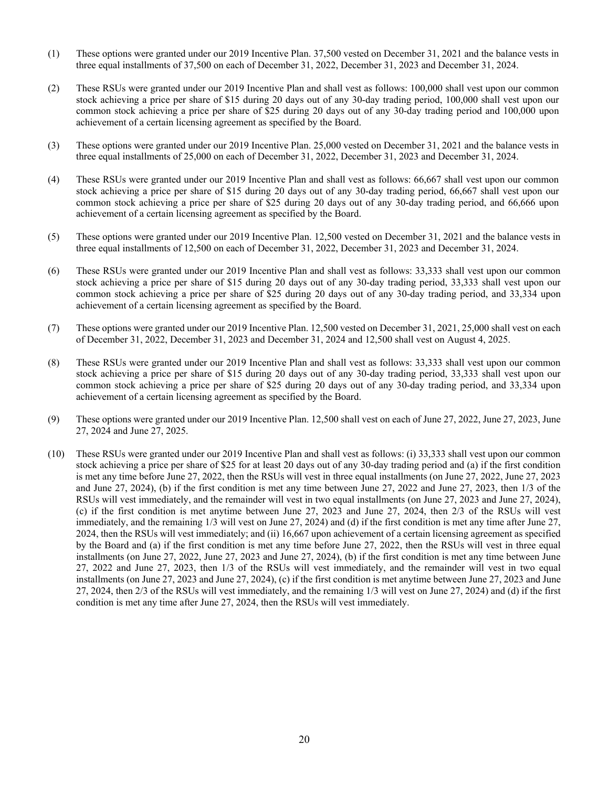- (1) These options were granted under our 2019 Incentive Plan. 37,500 vested on December 31, 2021 and the balance vests in three equal installments of 37,500 on each of December 31, 2022, December 31, 2023 and December 31, 2024.
- (2) These RSUs were granted under our 2019 Incentive Plan and shall vest as follows: 100,000 shall vest upon our common stock achieving a price per share of \$15 during 20 days out of any 30-day trading period, 100,000 shall vest upon our common stock achieving a price per share of \$25 during 20 days out of any 30-day trading period and 100,000 upon achievement of a certain licensing agreement as specified by the Board.
- (3) These options were granted under our 2019 Incentive Plan. 25,000 vested on December 31, 2021 and the balance vests in three equal installments of 25,000 on each of December 31, 2022, December 31, 2023 and December 31, 2024.
- (4) These RSUs were granted under our 2019 Incentive Plan and shall vest as follows: 66,667 shall vest upon our common stock achieving a price per share of \$15 during 20 days out of any 30-day trading period, 66,667 shall vest upon our common stock achieving a price per share of \$25 during 20 days out of any 30-day trading period, and 66,666 upon achievement of a certain licensing agreement as specified by the Board.
- (5) These options were granted under our 2019 Incentive Plan. 12,500 vested on December 31, 2021 and the balance vests in three equal installments of 12,500 on each of December 31, 2022, December 31, 2023 and December 31, 2024.
- (6) These RSUs were granted under our 2019 Incentive Plan and shall vest as follows: 33,333 shall vest upon our common stock achieving a price per share of \$15 during 20 days out of any 30-day trading period, 33,333 shall vest upon our common stock achieving a price per share of \$25 during 20 days out of any 30-day trading period, and 33,334 upon achievement of a certain licensing agreement as specified by the Board.
- (7) These options were granted under our 2019 Incentive Plan. 12,500 vested on December 31, 2021, 25,000 shall vest on each of December 31, 2022, December 31, 2023 and December 31, 2024 and 12,500 shall vest on August 4, 2025.
- (8) These RSUs were granted under our 2019 Incentive Plan and shall vest as follows: 33,333 shall vest upon our common stock achieving a price per share of \$15 during 20 days out of any 30-day trading period, 33,333 shall vest upon our common stock achieving a price per share of \$25 during 20 days out of any 30-day trading period, and 33,334 upon achievement of a certain licensing agreement as specified by the Board.
- (9) These options were granted under our 2019 Incentive Plan. 12,500 shall vest on each of June 27, 2022, June 27, 2023, June 27, 2024 and June 27, 2025.
- (10) These RSUs were granted under our 2019 Incentive Plan and shall vest as follows: (i) 33,333 shall vest upon our common stock achieving a price per share of \$25 for at least 20 days out of any 30-day trading period and (a) if the first condition is met any time before June 27, 2022, then the RSUs will vest in three equal installments (on June 27, 2022, June 27, 2023 and June 27, 2024), (b) if the first condition is met any time between June 27, 2022 and June 27, 2023, then 1/3 of the RSUs will vest immediately, and the remainder will vest in two equal installments (on June 27, 2023 and June 27, 2024), (c) if the first condition is met anytime between June 27, 2023 and June 27, 2024, then 2/3 of the RSUs will vest immediately, and the remaining 1/3 will vest on June 27, 2024) and (d) if the first condition is met any time after June 27, 2024, then the RSUs will vest immediately; and (ii) 16,667 upon achievement of a certain licensing agreement as specified by the Board and (a) if the first condition is met any time before June 27, 2022, then the RSUs will vest in three equal installments (on June 27, 2022, June 27, 2023 and June 27, 2024), (b) if the first condition is met any time between June 27, 2022 and June 27, 2023, then 1/3 of the RSUs will vest immediately, and the remainder will vest in two equal installments (on June 27, 2023 and June 27, 2024), (c) if the first condition is met anytime between June 27, 2023 and June 27, 2024, then 2/3 of the RSUs will vest immediately, and the remaining 1/3 will vest on June 27, 2024) and (d) if the first condition is met any time after June 27, 2024, then the RSUs will vest immediately.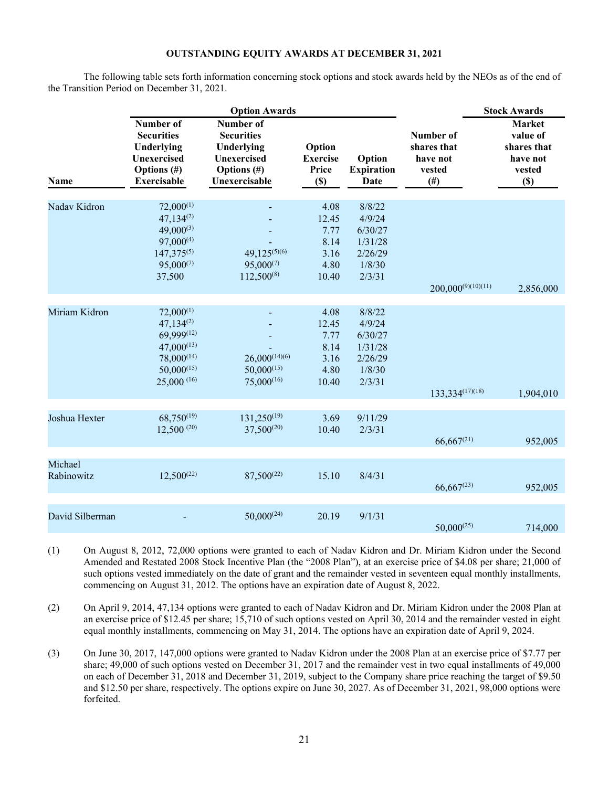## **OUTSTANDING EQUITY AWARDS AT DECEMBER 31, 2021**

The following table sets forth information concerning stock options and stock awards held by the NEOs as of the end of the Transition Period on December 31, 2021.

|                       |                                                                                                                               | <b>Option Awards</b>                                                                               |                                                        |                                                                       |                                                             | <b>Stock Awards</b>                                                      |
|-----------------------|-------------------------------------------------------------------------------------------------------------------------------|----------------------------------------------------------------------------------------------------|--------------------------------------------------------|-----------------------------------------------------------------------|-------------------------------------------------------------|--------------------------------------------------------------------------|
| Name                  | Number of<br><b>Securities</b><br>Underlying<br>Unexercised<br><b>Options</b> (#)<br><b>Exercisable</b>                       | Number of<br><b>Securities</b><br>Underlying<br>Unexercised<br><b>Options</b> (#)<br>Unexercisable | Option<br><b>Exercise</b><br>Price<br>$(\$)$           | Option<br><b>Expiration</b><br>Date                                   | Number of<br>shares that<br>have not<br>vested<br>$($ # $)$ | <b>Market</b><br>value of<br>shares that<br>have not<br>vested<br>$(\$)$ |
| Nadav Kidron          | $72,000^{(1)}$<br>$47,134^{(2)}$<br>$49,000^{(3)}$<br>$97,000^{(4)}$<br>$147,375^{(5)}$<br>$95,000^{(7)}$<br>37,500           | $49,125^{(5)(6)}$<br>$95,000^{(7)}$<br>112,500(8)                                                  | 4.08<br>12.45<br>7.77<br>8.14<br>3.16<br>4.80<br>10.40 | 8/8/22<br>4/9/24<br>6/30/27<br>1/31/28<br>2/26/29<br>1/8/30<br>2/3/31 | $200,000^{(9)(10)(11)}$                                     | 2,856,000                                                                |
| Miriam Kidron         | $72,000^{(1)}$<br>$47,134^{(2)}$<br>$69,999^{(12)}$<br>$47,000^{(13)}$<br>$78,000^{(14)}$<br>$50,000^{(15)}$<br>$25,000$ (16) | $26,000^{(14)(6)}$<br>$50,000^{(15)}$<br>$75,000^{(16)}$                                           | 4.08<br>12.45<br>7.77<br>8.14<br>3.16<br>4.80<br>10.40 | 8/8/22<br>4/9/24<br>6/30/27<br>1/31/28<br>2/26/29<br>1/8/30<br>2/3/31 | 133,334 <sup>(17)(18)</sup>                                 | 1,904,010                                                                |
| Joshua Hexter         | $68,750^{(19)}$<br>$12,500^{(20)}$                                                                                            | $131,250^{(19)}$<br>$37,500^{(20)}$                                                                | 3.69<br>10.40                                          | 9/11/29<br>2/3/31                                                     | $66,667^{(21)}$                                             | 952,005                                                                  |
| Michael<br>Rabinowitz | $12,500^{(22)}$                                                                                                               | $87,500^{(22)}$                                                                                    | 15.10                                                  | 8/4/31                                                                | $66,667^{(23)}$                                             | 952,005                                                                  |
| David Silberman       |                                                                                                                               | $50,000^{(24)}$                                                                                    | 20.19                                                  | 9/1/31                                                                | $50,000^{(25)}$                                             | 714,000                                                                  |

(1) On August 8, 2012, 72,000 options were granted to each of Nadav Kidron and Dr. Miriam Kidron under the Second Amended and Restated 2008 Stock Incentive Plan (the "2008 Plan"), at an exercise price of \$4.08 per share; 21,000 of such options vested immediately on the date of grant and the remainder vested in seventeen equal monthly installments, commencing on August 31, 2012. The options have an expiration date of August 8, 2022.

- (2) On April 9, 2014, 47,134 options were granted to each of Nadav Kidron and Dr. Miriam Kidron under the 2008 Plan at an exercise price of \$12.45 per share; 15,710 of such options vested on April 30, 2014 and the remainder vested in eight equal monthly installments, commencing on May 31, 2014. The options have an expiration date of April 9, 2024.
- (3) On June 30, 2017, 147,000 options were granted to Nadav Kidron under the 2008 Plan at an exercise price of \$7.77 per share; 49,000 of such options vested on December 31, 2017 and the remainder vest in two equal installments of 49,000 on each of December 31, 2018 and December 31, 2019, subject to the Company share price reaching the target of \$9.50 and \$12.50 per share, respectively. The options expire on June 30, 2027. As of December 31, 2021, 98,000 options were forfeited.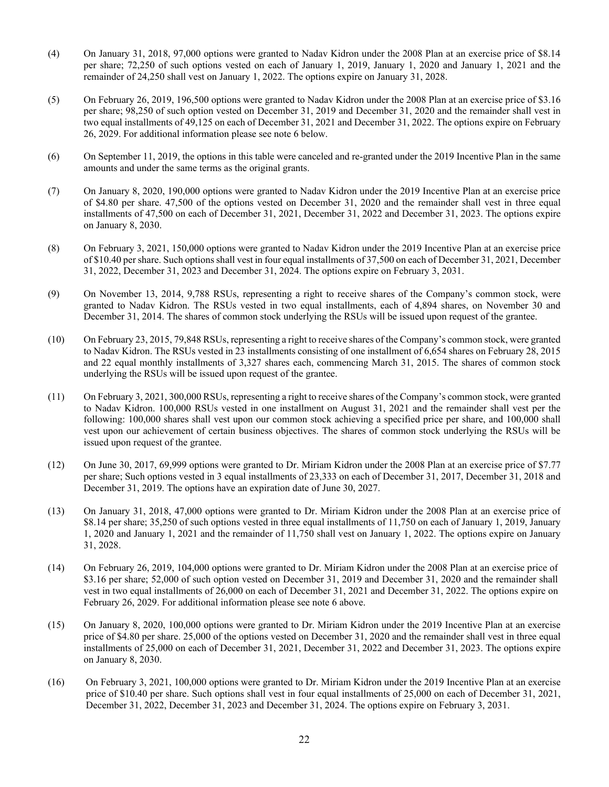- (4) On January 31, 2018, 97,000 options were granted to Nadav Kidron under the 2008 Plan at an exercise price of \$8.14 per share; 72,250 of such options vested on each of January 1, 2019, January 1, 2020 and January 1, 2021 and the remainder of 24,250 shall vest on January 1, 2022. The options expire on January 31, 2028.
- (5) On February 26, 2019, 196,500 options were granted to Nadav Kidron under the 2008 Plan at an exercise price of \$3.16 per share; 98,250 of such option vested on December 31, 2019 and December 31, 2020 and the remainder shall vest in two equal installments of 49,125 on each of December 31, 2021 and December 31, 2022. The options expire on February 26, 2029. For additional information please see note 6 below.
- (6) On September 11, 2019, the options in this table were canceled and re-granted under the 2019 Incentive Plan in the same amounts and under the same terms as the original grants.
- (7) On January 8, 2020, 190,000 options were granted to Nadav Kidron under the 2019 Incentive Plan at an exercise price of \$4.80 per share. 47,500 of the options vested on December 31, 2020 and the remainder shall vest in three equal installments of 47,500 on each of December 31, 2021, December 31, 2022 and December 31, 2023. The options expire on January 8, 2030.
- (8) On February 3, 2021, 150,000 options were granted to Nadav Kidron under the 2019 Incentive Plan at an exercise price of \$10.40 per share. Such options shall vest in four equal installments of 37,500 on each of December 31, 2021, December 31, 2022, December 31, 2023 and December 31, 2024. The options expire on February 3, 2031.
- (9) On November 13, 2014, 9,788 RSUs, representing a right to receive shares of the Company's common stock, were granted to Nadav Kidron. The RSUs vested in two equal installments, each of 4,894 shares, on November 30 and December 31, 2014. The shares of common stock underlying the RSUs will be issued upon request of the grantee.
- (10) On February 23, 2015, 79,848 RSUs, representing a right to receive shares of the Company's common stock, were granted to Nadav Kidron. The RSUs vested in 23 installments consisting of one installment of 6,654 shares on February 28, 2015 and 22 equal monthly installments of 3,327 shares each, commencing March 31, 2015. The shares of common stock underlying the RSUs will be issued upon request of the grantee.
- (11) On February 3, 2021, 300,000 RSUs, representing a right to receive shares of the Company's common stock, were granted to Nadav Kidron. 100,000 RSUs vested in one installment on August 31, 2021 and the remainder shall vest per the following: 100,000 shares shall vest upon our common stock achieving a specified price per share, and 100,000 shall vest upon our achievement of certain business objectives. The shares of common stock underlying the RSUs will be issued upon request of the grantee.
- (12) On June 30, 2017, 69,999 options were granted to Dr. Miriam Kidron under the 2008 Plan at an exercise price of \$7.77 per share; Such options vested in 3 equal installments of 23,333 on each of December 31, 2017, December 31, 2018 and December 31, 2019. The options have an expiration date of June 30, 2027.
- (13) On January 31, 2018, 47,000 options were granted to Dr. Miriam Kidron under the 2008 Plan at an exercise price of \$8.14 per share; 35,250 of such options vested in three equal installments of 11,750 on each of January 1, 2019, January 1, 2020 and January 1, 2021 and the remainder of 11,750 shall vest on January 1, 2022. The options expire on January 31, 2028.
- (14) On February 26, 2019, 104,000 options were granted to Dr. Miriam Kidron under the 2008 Plan at an exercise price of \$3.16 per share; 52,000 of such option vested on December 31, 2019 and December 31, 2020 and the remainder shall vest in two equal installments of 26,000 on each of December 31, 2021 and December 31, 2022. The options expire on February 26, 2029. For additional information please see note 6 above.
- (15) On January 8, 2020, 100,000 options were granted to Dr. Miriam Kidron under the 2019 Incentive Plan at an exercise price of \$4.80 per share. 25,000 of the options vested on December 31, 2020 and the remainder shall vest in three equal installments of 25,000 on each of December 31, 2021, December 31, 2022 and December 31, 2023. The options expire on January 8, 2030.
- (16) On February 3, 2021, 100,000 options were granted to Dr. Miriam Kidron under the 2019 Incentive Plan at an exercise price of \$10.40 per share. Such options shall vest in four equal installments of 25,000 on each of December 31, 2021, December 31, 2022, December 31, 2023 and December 31, 2024. The options expire on February 3, 2031.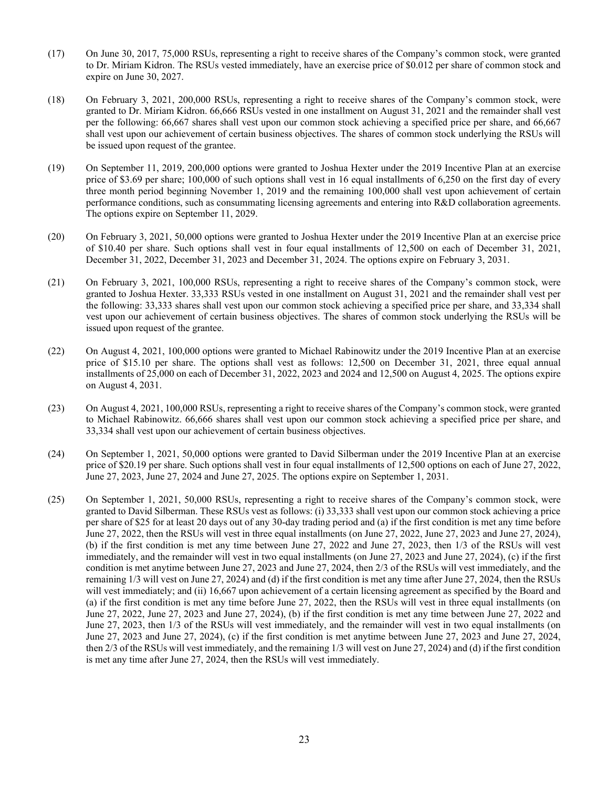- (17) On June 30, 2017, 75,000 RSUs, representing a right to receive shares of the Company's common stock, were granted to Dr. Miriam Kidron. The RSUs vested immediately, have an exercise price of \$0.012 per share of common stock and expire on June 30, 2027.
- (18) On February 3, 2021, 200,000 RSUs, representing a right to receive shares of the Company's common stock, were granted to Dr. Miriam Kidron. 66,666 RSUs vested in one installment on August 31, 2021 and the remainder shall vest per the following: 66,667 shares shall vest upon our common stock achieving a specified price per share, and 66,667 shall vest upon our achievement of certain business objectives. The shares of common stock underlying the RSUs will be issued upon request of the grantee.
- (19) On September 11, 2019, 200,000 options were granted to Joshua Hexter under the 2019 Incentive Plan at an exercise price of \$3.69 per share; 100,000 of such options shall vest in 16 equal installments of 6,250 on the first day of every three month period beginning November 1, 2019 and the remaining 100,000 shall vest upon achievement of certain performance conditions, such as consummating licensing agreements and entering into R&D collaboration agreements. The options expire on September 11, 2029.
- (20) On February 3, 2021, 50,000 options were granted to Joshua Hexter under the 2019 Incentive Plan at an exercise price of \$10.40 per share. Such options shall vest in four equal installments of 12,500 on each of December 31, 2021, December 31, 2022, December 31, 2023 and December 31, 2024. The options expire on February 3, 2031.
- (21) On February 3, 2021, 100,000 RSUs, representing a right to receive shares of the Company's common stock, were granted to Joshua Hexter. 33,333 RSUs vested in one installment on August 31, 2021 and the remainder shall vest per the following: 33,333 shares shall vest upon our common stock achieving a specified price per share, and 33,334 shall vest upon our achievement of certain business objectives. The shares of common stock underlying the RSUs will be issued upon request of the grantee.
- (22) On August 4, 2021, 100,000 options were granted to Michael Rabinowitz under the 2019 Incentive Plan at an exercise price of \$15.10 per share. The options shall vest as follows: 12,500 on December 31, 2021, three equal annual installments of 25,000 on each of December 31, 2022, 2023 and 2024 and 12,500 on August 4, 2025. The options expire on August 4, 2031.
- (23) On August 4, 2021, 100,000 RSUs, representing a right to receive shares of the Company's common stock, were granted to Michael Rabinowitz. 66,666 shares shall vest upon our common stock achieving a specified price per share, and 33,334 shall vest upon our achievement of certain business objectives.
- (24) On September 1, 2021, 50,000 options were granted to David Silberman under the 2019 Incentive Plan at an exercise price of \$20.19 per share. Such options shall vest in four equal installments of 12,500 options on each of June 27, 2022, June 27, 2023, June 27, 2024 and June 27, 2025. The options expire on September 1, 2031.
- (25) On September 1, 2021, 50,000 RSUs, representing a right to receive shares of the Company's common stock, were granted to David Silberman. These RSUs vest as follows: (i) 33,333 shall vest upon our common stock achieving a price per share of \$25 for at least 20 days out of any 30-day trading period and (a) if the first condition is met any time before June 27, 2022, then the RSUs will vest in three equal installments (on June 27, 2022, June 27, 2023 and June 27, 2024), (b) if the first condition is met any time between June 27, 2022 and June 27, 2023, then 1/3 of the RSUs will vest immediately, and the remainder will vest in two equal installments (on June 27, 2023 and June 27, 2024), (c) if the first condition is met anytime between June 27, 2023 and June 27, 2024, then 2/3 of the RSUs will vest immediately, and the remaining 1/3 will vest on June 27, 2024) and (d) if the first condition is met any time after June 27, 2024, then the RSUs will vest immediately; and (ii) 16,667 upon achievement of a certain licensing agreement as specified by the Board and (a) if the first condition is met any time before June 27, 2022, then the RSUs will vest in three equal installments (on June 27, 2022, June 27, 2023 and June 27, 2024), (b) if the first condition is met any time between June 27, 2022 and June 27, 2023, then 1/3 of the RSUs will vest immediately, and the remainder will vest in two equal installments (on June 27, 2023 and June 27, 2024), (c) if the first condition is met anytime between June 27, 2023 and June 27, 2024, then 2/3 of the RSUs will vest immediately, and the remaining 1/3 will vest on June 27, 2024) and (d) if the first condition is met any time after June 27, 2024, then the RSUs will vest immediately.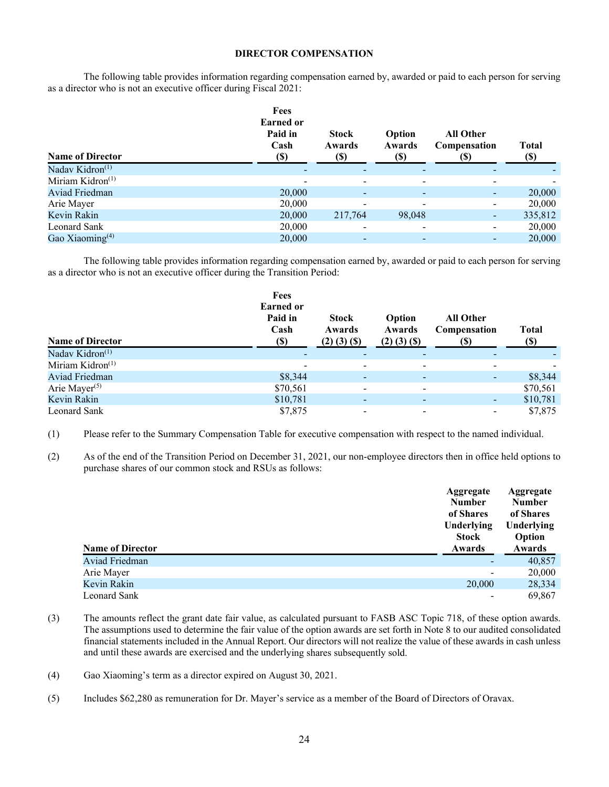### **DIRECTOR COMPENSATION**

The following table provides information regarding compensation earned by, awarded or paid to each person for serving as a director who is not an executive officer during Fiscal 2021:

| <b>Name of Director</b>     | Fees<br><b>Earned</b> or<br>Paid in<br>Cash<br><b>(\$)</b> | <b>Stock</b><br>Awards<br>(S) | Option<br>Awards<br><b>(\$)</b> | <b>All Other</b><br>Compensation | <b>Total</b><br><b>(\$)</b> |
|-----------------------------|------------------------------------------------------------|-------------------------------|---------------------------------|----------------------------------|-----------------------------|
| Nadav Kidron <sup>(1)</sup> |                                                            |                               |                                 |                                  |                             |
| Miriam Kidron $(1)$         |                                                            |                               |                                 |                                  |                             |
| Aviad Friedman              | 20,000                                                     | $\blacksquare$                |                                 |                                  | 20,000                      |
| Arie Mayer                  | 20,000                                                     |                               |                                 | $\blacksquare$                   | 20,000                      |
| Kevin Rakin                 | 20,000                                                     | 217,764                       | 98,048                          | $\blacksquare$                   | 335,812                     |
| Leonard Sank                | 20,000                                                     | $\overline{\phantom{a}}$      |                                 | Ξ.                               | 20,000                      |
| Gao Xiaoming $(4)$          | 20,000                                                     |                               |                                 |                                  | 20,000                      |

The following table provides information regarding compensation earned by, awarded or paid to each person for serving as a director who is not an executive officer during the Transition Period:

| <b>Name of Director</b>      | Fees<br><b>Earned or</b><br>Paid in<br>Cash<br><b>(\$)</b> | <b>Stock</b><br>Awards<br>$(2)$ $(3)$ $(5)$ | Option<br>Awards<br>$(2)$ $(3)$ $(5)$ | <b>All Other</b><br>Compensation | <b>Total</b><br>(S) |
|------------------------------|------------------------------------------------------------|---------------------------------------------|---------------------------------------|----------------------------------|---------------------|
| Nadav Kidron <sup>(1)</sup>  |                                                            | ٠                                           |                                       | -                                |                     |
| Miriam Kidron <sup>(1)</sup> |                                                            | $\overline{\phantom{a}}$                    |                                       |                                  |                     |
| <b>Aviad Friedman</b>        | \$8,344                                                    | $\overline{\phantom{a}}$                    |                                       | -                                | \$8,344             |
| Arie Mayer <sup>(5)</sup>    | \$70,561                                                   | -                                           | -                                     |                                  | \$70,561            |
| Kevin Rakin                  | \$10,781                                                   | ٠                                           |                                       | ٠                                | \$10,781            |
| Leonard Sank                 | \$7,875                                                    | $\overline{\phantom{a}}$                    |                                       | -                                | \$7,875             |

(1) Please refer to the Summary Compensation Table for executive compensation with respect to the named individual.

(2) As of the end of the Transition Period on December 31, 2021, our non-employee directors then in office held options to purchase shares of our common stock and RSUs as follows:

|                         | Aggregate<br><b>Number</b><br>of Shares<br>Underlying<br><b>Stock</b> | Aggregate<br><b>Number</b><br>of Shares<br>Underlying<br>Option |
|-------------------------|-----------------------------------------------------------------------|-----------------------------------------------------------------|
| <b>Name of Director</b> | Awards                                                                | Awards                                                          |
| Aviad Friedman          |                                                                       | 40,857                                                          |
| Arie Mayer              |                                                                       | 20,000                                                          |
| Kevin Rakin             | 20,000                                                                | 28,334                                                          |

- (3) The amounts reflect the grant date fair value, as calculated pursuant to FASB ASC Topic 718, of these option awards. The assumptions used to determine the fair value of the option awards are set forth in Note 8 to our audited consolidated financial statements included in the Annual Report. Our directors will not realize the value of these awards in cash unless and until these awards are exercised and the underlying shares subsequently sold.
- (4) Gao Xiaoming's term as a director expired on August 30, 2021.
- (5) Includes \$62,280 as remuneration for Dr. Mayer's service as a member of the Board of Directors of Oravax.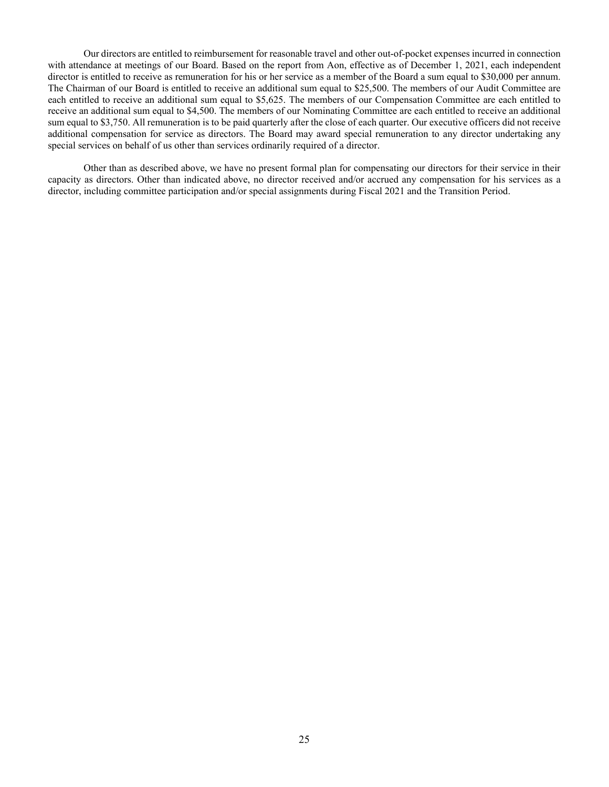Our directors are entitled to reimbursement for reasonable travel and other out-of-pocket expenses incurred in connection with attendance at meetings of our Board. Based on the report from Aon, effective as of December 1, 2021, each independent director is entitled to receive as remuneration for his or her service as a member of the Board a sum equal to \$30,000 per annum. The Chairman of our Board is entitled to receive an additional sum equal to \$25,500. The members of our Audit Committee are each entitled to receive an additional sum equal to \$5,625. The members of our Compensation Committee are each entitled to receive an additional sum equal to \$4,500. The members of our Nominating Committee are each entitled to receive an additional sum equal to \$3,750. All remuneration is to be paid quarterly after the close of each quarter. Our executive officers did not receive additional compensation for service as directors. The Board may award special remuneration to any director undertaking any special services on behalf of us other than services ordinarily required of a director.

Other than as described above, we have no present formal plan for compensating our directors for their service in their capacity as directors. Other than indicated above, no director received and/or accrued any compensation for his services as a director, including committee participation and/or special assignments during Fiscal 2021 and the Transition Period.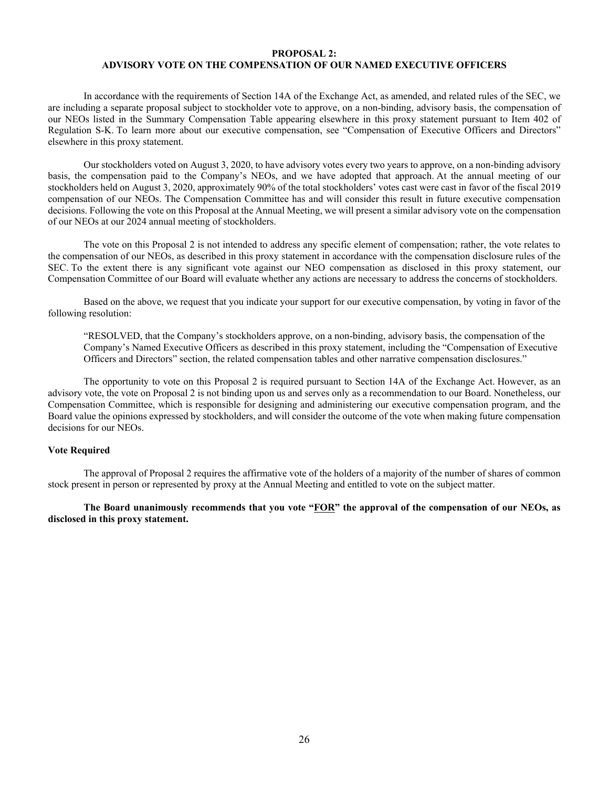## **PROPOSAL 2: ADVISORY VOTE ON THE COMPENSATION OF OUR NAMED EXECUTIVE OFFICERS**

In accordance with the requirements of Section 14A of the Exchange Act, as amended, and related rules of the SEC, we are including a separate proposal subject to stockholder vote to approve, on a non-binding, advisory basis, the compensation of our NEOs listed in the Summary Compensation Table appearing elsewhere in this proxy statement pursuant to Item 402 of Regulation S-K. To learn more about our executive compensation, see "Compensation of Executive Officers and Directors" elsewhere in this proxy statement.

Our stockholders voted on August 3, 2020, to have advisory votes every two years to approve, on a non-binding advisory basis, the compensation paid to the Company's NEOs, and we have adopted that approach. At the annual meeting of our stockholders held on August 3, 2020, approximately 90% of the total stockholders' votes cast were cast in favor of the fiscal 2019 compensation of our NEOs. The Compensation Committee has and will consider this result in future executive compensation decisions. Following the vote on this Proposal at the Annual Meeting, we will present a similar advisory vote on the compensation of our NEOs at our 2024 annual meeting of stockholders.

The vote on this Proposal 2 is not intended to address any specific element of compensation; rather, the vote relates to the compensation of our NEOs, as described in this proxy statement in accordance with the compensation disclosure rules of the SEC. To the extent there is any significant vote against our NEO compensation as disclosed in this proxy statement, our Compensation Committee of our Board will evaluate whether any actions are necessary to address the concerns of stockholders.

Based on the above, we request that you indicate your support for our executive compensation, by voting in favor of the following resolution:

"RESOLVED, that the Company's stockholders approve, on a non-binding, advisory basis, the compensation of the Company's Named Executive Officers as described in this proxy statement, including the "Compensation of Executive Officers and Directors" section, the related compensation tables and other narrative compensation disclosures."

The opportunity to vote on this Proposal 2 is required pursuant to Section 14A of the Exchange Act. However, as an advisory vote, the vote on Proposal 2 is not binding upon us and serves only as a recommendation to our Board. Nonetheless, our Compensation Committee, which is responsible for designing and administering our executive compensation program, and the Board value the opinions expressed by stockholders, and will consider the outcome of the vote when making future compensation decisions for our NEOs.

#### **Vote Required**

The approval of Proposal 2 requires the affirmative vote of the holders of a majority of the number of shares of common stock present in person or represented by proxy at the Annual Meeting and entitled to vote on the subject matter.

**The Board unanimously recommends that you vote "FOR" the approval of the compensation of our NEOs, as disclosed in this proxy statement.**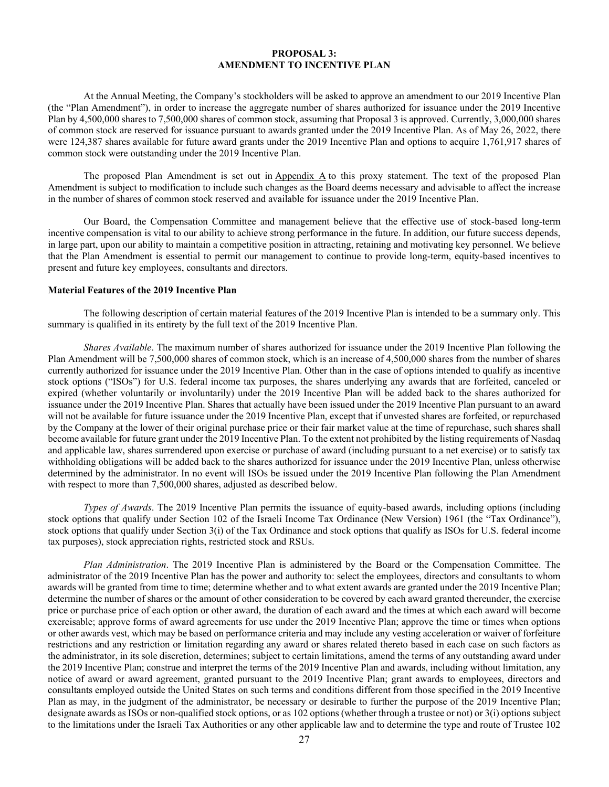#### **PROPOSAL 3: AMENDMENT TO INCENTIVE PLAN**

At the Annual Meeting, the Company's stockholders will be asked to approve an amendment to our 2019 Incentive Plan (the "Plan Amendment"), in order to increase the aggregate number of shares authorized for issuance under the 2019 Incentive Plan by 4,500,000 shares to 7,500,000 shares of common stock, assuming that Proposal 3 is approved. Currently, 3,000,000 shares of common stock are reserved for issuance pursuant to awards granted under the 2019 Incentive Plan. As of May 26, 2022, there were 124,387 shares available for future award grants under the 2019 Incentive Plan and options to acquire 1,761,917 shares of common stock were outstanding under the 2019 Incentive Plan.

The proposed Plan Amendment is set out in Appendix A to this proxy statement. The text of the proposed Plan Amendment is subject to modification to include such changes as the Board deems necessary and advisable to affect the increase in the number of shares of common stock reserved and available for issuance under the 2019 Incentive Plan.

Our Board, the Compensation Committee and management believe that the effective use of stock-based long-term incentive compensation is vital to our ability to achieve strong performance in the future. In addition, our future success depends, in large part, upon our ability to maintain a competitive position in attracting, retaining and motivating key personnel. We believe that the Plan Amendment is essential to permit our management to continue to provide long-term, equity-based incentives to present and future key employees, consultants and directors.

#### **Material Features of the 2019 Incentive Plan**

The following description of certain material features of the 2019 Incentive Plan is intended to be a summary only. This summary is qualified in its entirety by the full text of the 2019 Incentive Plan.

*Shares Available*. The maximum number of shares authorized for issuance under the 2019 Incentive Plan following the Plan Amendment will be 7,500,000 shares of common stock, which is an increase of 4,500,000 shares from the number of shares currently authorized for issuance under the 2019 Incentive Plan. Other than in the case of options intended to qualify as incentive stock options ("ISOs") for U.S. federal income tax purposes, the shares underlying any awards that are forfeited, canceled or expired (whether voluntarily or involuntarily) under the 2019 Incentive Plan will be added back to the shares authorized for issuance under the 2019 Incentive Plan. Shares that actually have been issued under the 2019 Incentive Plan pursuant to an award will not be available for future issuance under the 2019 Incentive Plan, except that if unvested shares are forfeited, or repurchased by the Company at the lower of their original purchase price or their fair market value at the time of repurchase, such shares shall become available for future grant under the 2019 Incentive Plan. To the extent not prohibited by the listing requirements of Nasdaq and applicable law, shares surrendered upon exercise or purchase of award (including pursuant to a net exercise) or to satisfy tax withholding obligations will be added back to the shares authorized for issuance under the 2019 Incentive Plan, unless otherwise determined by the administrator. In no event will ISOs be issued under the 2019 Incentive Plan following the Plan Amendment with respect to more than 7,500,000 shares, adjusted as described below.

*Types of Awards*. The 2019 Incentive Plan permits the issuance of equity-based awards, including options (including stock options that qualify under Section 102 of the Israeli Income Tax Ordinance (New Version) 1961 (the "Tax Ordinance"), stock options that qualify under Section 3(i) of the Tax Ordinance and stock options that qualify as ISOs for U.S. federal income tax purposes), stock appreciation rights, restricted stock and RSUs.

*Plan Administration*. The 2019 Incentive Plan is administered by the Board or the Compensation Committee. The administrator of the 2019 Incentive Plan has the power and authority to: select the employees, directors and consultants to whom awards will be granted from time to time; determine whether and to what extent awards are granted under the 2019 Incentive Plan; determine the number of shares or the amount of other consideration to be covered by each award granted thereunder, the exercise price or purchase price of each option or other award, the duration of each award and the times at which each award will become exercisable; approve forms of award agreements for use under the 2019 Incentive Plan; approve the time or times when options or other awards vest, which may be based on performance criteria and may include any vesting acceleration or waiver of forfeiture restrictions and any restriction or limitation regarding any award or shares related thereto based in each case on such factors as the administrator, in its sole discretion, determines; subject to certain limitations, amend the terms of any outstanding award under the 2019 Incentive Plan; construe and interpret the terms of the 2019 Incentive Plan and awards, including without limitation, any notice of award or award agreement, granted pursuant to the 2019 Incentive Plan; grant awards to employees, directors and consultants employed outside the United States on such terms and conditions different from those specified in the 2019 Incentive Plan as may, in the judgment of the administrator, be necessary or desirable to further the purpose of the 2019 Incentive Plan; designate awards as ISOs or non-qualified stock options, or as 102 options (whether through a trustee or not) or 3(i) options subject to the limitations under the Israeli Tax Authorities or any other applicable law and to determine the type and route of Trustee 102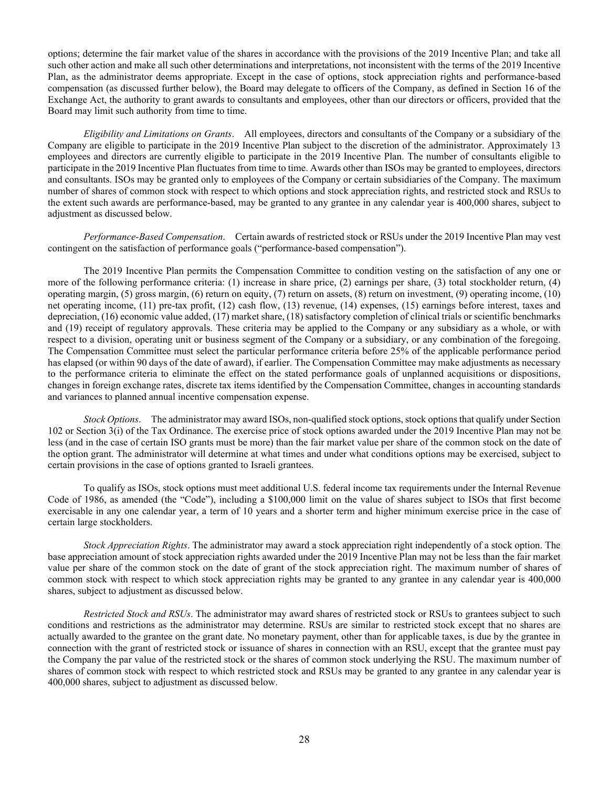options; determine the fair market value of the shares in accordance with the provisions of the 2019 Incentive Plan; and take all such other action and make all such other determinations and interpretations, not inconsistent with the terms of the 2019 Incentive Plan, as the administrator deems appropriate. Except in the case of options, stock appreciation rights and performance-based compensation (as discussed further below), the Board may delegate to officers of the Company, as defined in Section 16 of the Exchange Act, the authority to grant awards to consultants and employees, other than our directors or officers, provided that the Board may limit such authority from time to time.

*Eligibility and Limitations on Grants*. All employees, directors and consultants of the Company or a subsidiary of the Company are eligible to participate in the 2019 Incentive Plan subject to the discretion of the administrator. Approximately 13 employees and directors are currently eligible to participate in the 2019 Incentive Plan. The number of consultants eligible to participate in the 2019 Incentive Plan fluctuates from time to time. Awards other than ISOs may be granted to employees, directors and consultants. ISOs may be granted only to employees of the Company or certain subsidiaries of the Company. The maximum number of shares of common stock with respect to which options and stock appreciation rights, and restricted stock and RSUs to the extent such awards are performance-based, may be granted to any grantee in any calendar year is 400,000 shares, subject to adjustment as discussed below.

*Performance-Based Compensation*. Certain awards of restricted stock or RSUs under the 2019 Incentive Plan may vest contingent on the satisfaction of performance goals ("performance-based compensation").

The 2019 Incentive Plan permits the Compensation Committee to condition vesting on the satisfaction of any one or more of the following performance criteria: (1) increase in share price, (2) earnings per share, (3) total stockholder return, (4) operating margin, (5) gross margin, (6) return on equity, (7) return on assets, (8) return on investment, (9) operating income, (10) net operating income, (11) pre-tax profit, (12) cash flow, (13) revenue, (14) expenses, (15) earnings before interest, taxes and depreciation, (16) economic value added, (17) market share, (18) satisfactory completion of clinical trials or scientific benchmarks and (19) receipt of regulatory approvals. These criteria may be applied to the Company or any subsidiary as a whole, or with respect to a division, operating unit or business segment of the Company or a subsidiary, or any combination of the foregoing. The Compensation Committee must select the particular performance criteria before 25% of the applicable performance period has elapsed (or within 90 days of the date of award), if earlier. The Compensation Committee may make adjustments as necessary to the performance criteria to eliminate the effect on the stated performance goals of unplanned acquisitions or dispositions, changes in foreign exchange rates, discrete tax items identified by the Compensation Committee, changes in accounting standards and variances to planned annual incentive compensation expense.

*Stock Options*. The administrator may award ISOs, non-qualified stock options, stock options that qualify under Section 102 or Section 3(i) of the Tax Ordinance. The exercise price of stock options awarded under the 2019 Incentive Plan may not be less (and in the case of certain ISO grants must be more) than the fair market value per share of the common stock on the date of the option grant. The administrator will determine at what times and under what conditions options may be exercised, subject to certain provisions in the case of options granted to Israeli grantees.

To qualify as ISOs, stock options must meet additional U.S. federal income tax requirements under the Internal Revenue Code of 1986, as amended (the "Code"), including a \$100,000 limit on the value of shares subject to ISOs that first become exercisable in any one calendar year, a term of 10 years and a shorter term and higher minimum exercise price in the case of certain large stockholders.

*Stock Appreciation Rights*. The administrator may award a stock appreciation right independently of a stock option. The base appreciation amount of stock appreciation rights awarded under the 2019 Incentive Plan may not be less than the fair market value per share of the common stock on the date of grant of the stock appreciation right. The maximum number of shares of common stock with respect to which stock appreciation rights may be granted to any grantee in any calendar year is 400,000 shares, subject to adjustment as discussed below.

*Restricted Stock and RSUs*. The administrator may award shares of restricted stock or RSUs to grantees subject to such conditions and restrictions as the administrator may determine. RSUs are similar to restricted stock except that no shares are actually awarded to the grantee on the grant date. No monetary payment, other than for applicable taxes, is due by the grantee in connection with the grant of restricted stock or issuance of shares in connection with an RSU, except that the grantee must pay the Company the par value of the restricted stock or the shares of common stock underlying the RSU. The maximum number of shares of common stock with respect to which restricted stock and RSUs may be granted to any grantee in any calendar year is 400,000 shares, subject to adjustment as discussed below.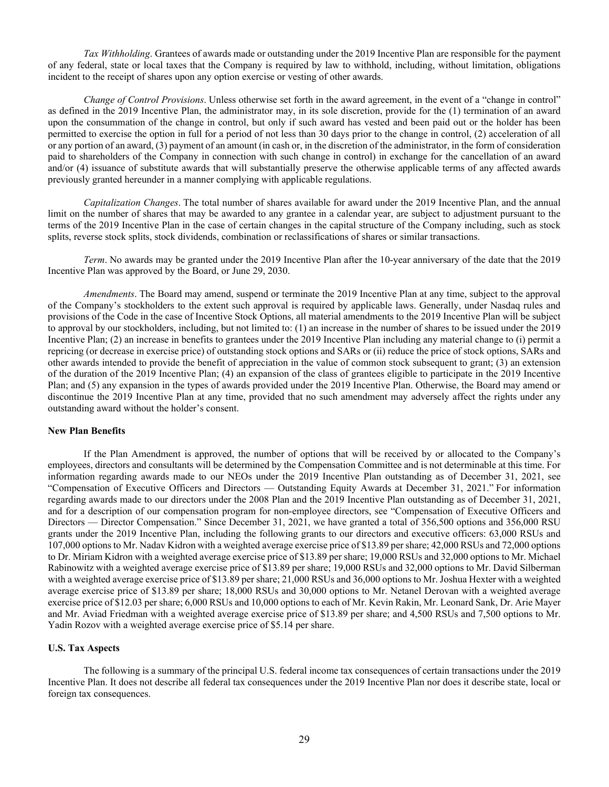*Tax Withholding*. Grantees of awards made or outstanding under the 2019 Incentive Plan are responsible for the payment of any federal, state or local taxes that the Company is required by law to withhold, including, without limitation, obligations incident to the receipt of shares upon any option exercise or vesting of other awards.

*Change of Control Provisions*. Unless otherwise set forth in the award agreement, in the event of a "change in control" as defined in the 2019 Incentive Plan, the administrator may, in its sole discretion, provide for the (1) termination of an award upon the consummation of the change in control, but only if such award has vested and been paid out or the holder has been permitted to exercise the option in full for a period of not less than 30 days prior to the change in control, (2) acceleration of all or any portion of an award, (3) payment of an amount (in cash or, in the discretion of the administrator, in the form of consideration paid to shareholders of the Company in connection with such change in control) in exchange for the cancellation of an award and/or (4) issuance of substitute awards that will substantially preserve the otherwise applicable terms of any affected awards previously granted hereunder in a manner complying with applicable regulations.

*Capitalization Changes*. The total number of shares available for award under the 2019 Incentive Plan, and the annual limit on the number of shares that may be awarded to any grantee in a calendar year, are subject to adjustment pursuant to the terms of the 2019 Incentive Plan in the case of certain changes in the capital structure of the Company including, such as stock splits, reverse stock splits, stock dividends, combination or reclassifications of shares or similar transactions.

*Term*. No awards may be granted under the 2019 Incentive Plan after the 10-year anniversary of the date that the 2019 Incentive Plan was approved by the Board, or June 29, 2030.

*Amendments*. The Board may amend, suspend or terminate the 2019 Incentive Plan at any time, subject to the approval of the Company's stockholders to the extent such approval is required by applicable laws. Generally, under Nasdaq rules and provisions of the Code in the case of Incentive Stock Options, all material amendments to the 2019 Incentive Plan will be subject to approval by our stockholders, including, but not limited to: (1) an increase in the number of shares to be issued under the 2019 Incentive Plan; (2) an increase in benefits to grantees under the 2019 Incentive Plan including any material change to (i) permit a repricing (or decrease in exercise price) of outstanding stock options and SARs or (ii) reduce the price of stock options, SARs and other awards intended to provide the benefit of appreciation in the value of common stock subsequent to grant; (3) an extension of the duration of the 2019 Incentive Plan; (4) an expansion of the class of grantees eligible to participate in the 2019 Incentive Plan; and (5) any expansion in the types of awards provided under the 2019 Incentive Plan. Otherwise, the Board may amend or discontinue the 2019 Incentive Plan at any time, provided that no such amendment may adversely affect the rights under any outstanding award without the holder's consent.

#### **New Plan Benefits**

If the Plan Amendment is approved, the number of options that will be received by or allocated to the Company's employees, directors and consultants will be determined by the Compensation Committee and is not determinable at this time. For information regarding awards made to our NEOs under the 2019 Incentive Plan outstanding as of December 31, 2021, see "Compensation of Executive Officers and Directors — Outstanding Equity Awards at December 31, 2021." For information regarding awards made to our directors under the 2008 Plan and the 2019 Incentive Plan outstanding as of December 31, 2021, and for a description of our compensation program for non-employee directors, see "Compensation of Executive Officers and Directors — Director Compensation." Since December 31, 2021, we have granted a total of 356,500 options and 356,000 RSU grants under the 2019 Incentive Plan, including the following grants to our directors and executive officers: 63,000 RSUs and 107,000 options to Mr. Nadav Kidron with a weighted average exercise price of \$13.89 per share; 42,000 RSUs and 72,000 options to Dr. Miriam Kidron with a weighted average exercise price of \$13.89 per share; 19,000 RSUs and 32,000 options to Mr. Michael Rabinowitz with a weighted average exercise price of \$13.89 per share; 19,000 RSUs and 32,000 options to Mr. David Silberman with a weighted average exercise price of \$13.89 per share; 21,000 RSUs and 36,000 options to Mr. Joshua Hexter with a weighted average exercise price of \$13.89 per share; 18,000 RSUs and 30,000 options to Mr. Netanel Derovan with a weighted average exercise price of \$12.03 per share; 6,000 RSUs and 10,000 options to each of Mr. Kevin Rakin, Mr. Leonard Sank, Dr. Arie Mayer and Mr. Aviad Friedman with a weighted average exercise price of \$13.89 per share; and 4,500 RSUs and 7,500 options to Mr. Yadin Rozov with a weighted average exercise price of \$5.14 per share.

#### **U.S. Tax Aspects**

The following is a summary of the principal U.S. federal income tax consequences of certain transactions under the 2019 Incentive Plan. It does not describe all federal tax consequences under the 2019 Incentive Plan nor does it describe state, local or foreign tax consequences.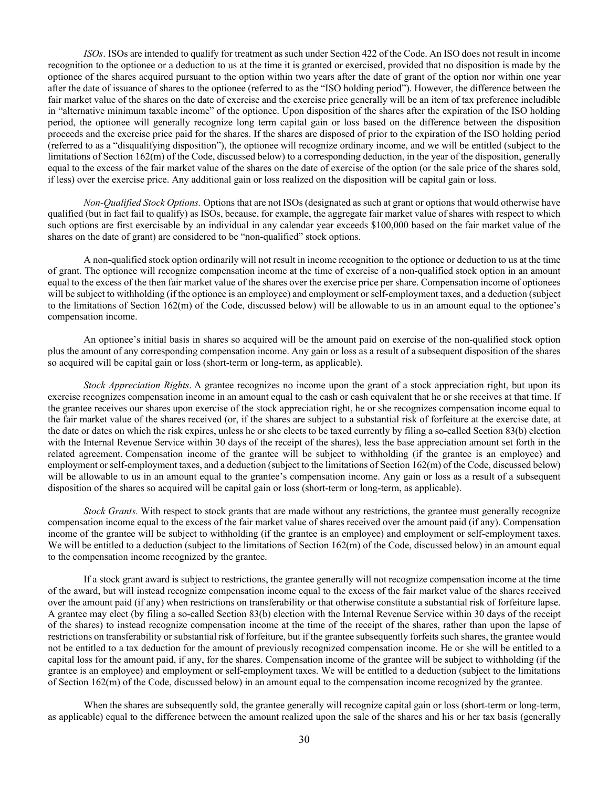*ISOs*. ISOs are intended to qualify for treatment as such under Section 422 of the Code. An ISO does not result in income recognition to the optionee or a deduction to us at the time it is granted or exercised, provided that no disposition is made by the optionee of the shares acquired pursuant to the option within two years after the date of grant of the option nor within one year after the date of issuance of shares to the optionee (referred to as the "ISO holding period"). However, the difference between the fair market value of the shares on the date of exercise and the exercise price generally will be an item of tax preference includible in "alternative minimum taxable income" of the optionee. Upon disposition of the shares after the expiration of the ISO holding period, the optionee will generally recognize long term capital gain or loss based on the difference between the disposition proceeds and the exercise price paid for the shares. If the shares are disposed of prior to the expiration of the ISO holding period (referred to as a "disqualifying disposition"), the optionee will recognize ordinary income, and we will be entitled (subject to the limitations of Section 162(m) of the Code, discussed below) to a corresponding deduction, in the year of the disposition, generally equal to the excess of the fair market value of the shares on the date of exercise of the option (or the sale price of the shares sold, if less) over the exercise price. Any additional gain or loss realized on the disposition will be capital gain or loss.

*Non-Qualified Stock Options.* Options that are not ISOs (designated as such at grant or options that would otherwise have qualified (but in fact fail to qualify) as ISOs, because, for example, the aggregate fair market value of shares with respect to which such options are first exercisable by an individual in any calendar year exceeds \$100,000 based on the fair market value of the shares on the date of grant) are considered to be "non-qualified" stock options.

A non-qualified stock option ordinarily will not result in income recognition to the optionee or deduction to us at the time of grant. The optionee will recognize compensation income at the time of exercise of a non-qualified stock option in an amount equal to the excess of the then fair market value of the shares over the exercise price per share. Compensation income of optionees will be subject to withholding (if the optionee is an employee) and employment or self-employment taxes, and a deduction (subject to the limitations of Section 162(m) of the Code, discussed below) will be allowable to us in an amount equal to the optionee's compensation income.

An optionee's initial basis in shares so acquired will be the amount paid on exercise of the non-qualified stock option plus the amount of any corresponding compensation income. Any gain or loss as a result of a subsequent disposition of the shares so acquired will be capital gain or loss (short-term or long-term, as applicable).

*Stock Appreciation Rights*. A grantee recognizes no income upon the grant of a stock appreciation right, but upon its exercise recognizes compensation income in an amount equal to the cash or cash equivalent that he or she receives at that time. If the grantee receives our shares upon exercise of the stock appreciation right, he or she recognizes compensation income equal to the fair market value of the shares received (or, if the shares are subject to a substantial risk of forfeiture at the exercise date, at the date or dates on which the risk expires, unless he or she elects to be taxed currently by filing a so-called Section 83(b) election with the Internal Revenue Service within 30 days of the receipt of the shares), less the base appreciation amount set forth in the related agreement. Compensation income of the grantee will be subject to withholding (if the grantee is an employee) and employment or self-employment taxes, and a deduction (subject to the limitations of Section 162(m) of the Code, discussed below) will be allowable to us in an amount equal to the grantee's compensation income. Any gain or loss as a result of a subsequent disposition of the shares so acquired will be capital gain or loss (short-term or long-term, as applicable).

*Stock Grants.* With respect to stock grants that are made without any restrictions, the grantee must generally recognize compensation income equal to the excess of the fair market value of shares received over the amount paid (if any). Compensation income of the grantee will be subject to withholding (if the grantee is an employee) and employment or self-employment taxes. We will be entitled to a deduction (subject to the limitations of Section  $162(m)$  of the Code, discussed below) in an amount equal to the compensation income recognized by the grantee.

If a stock grant award is subject to restrictions, the grantee generally will not recognize compensation income at the time of the award, but will instead recognize compensation income equal to the excess of the fair market value of the shares received over the amount paid (if any) when restrictions on transferability or that otherwise constitute a substantial risk of forfeiture lapse. A grantee may elect (by filing a so-called Section 83(b) election with the Internal Revenue Service within 30 days of the receipt of the shares) to instead recognize compensation income at the time of the receipt of the shares, rather than upon the lapse of restrictions on transferability or substantial risk of forfeiture, but if the grantee subsequently forfeits such shares, the grantee would not be entitled to a tax deduction for the amount of previously recognized compensation income. He or she will be entitled to a capital loss for the amount paid, if any, for the shares. Compensation income of the grantee will be subject to withholding (if the grantee is an employee) and employment or self-employment taxes. We will be entitled to a deduction (subject to the limitations of Section 162(m) of the Code, discussed below) in an amount equal to the compensation income recognized by the grantee.

When the shares are subsequently sold, the grantee generally will recognize capital gain or loss (short-term or long-term, as applicable) equal to the difference between the amount realized upon the sale of the shares and his or her tax basis (generally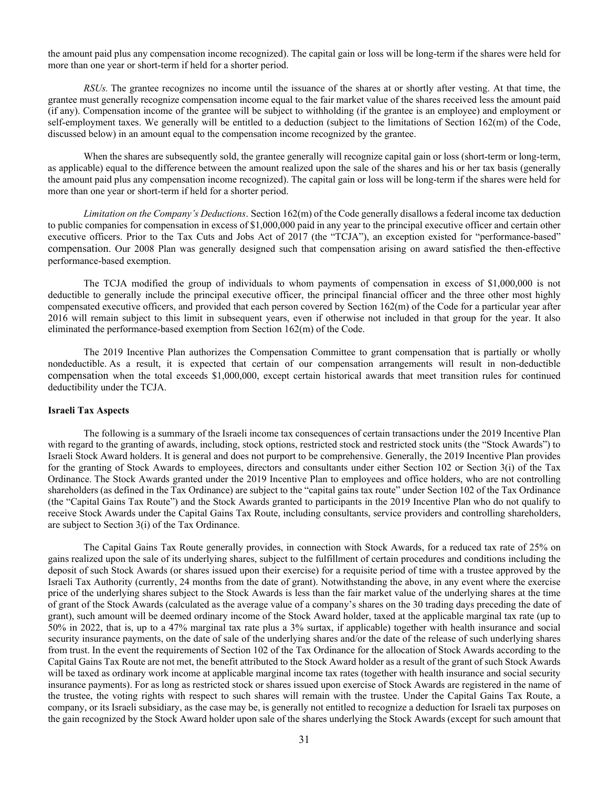the amount paid plus any compensation income recognized). The capital gain or loss will be long-term if the shares were held for more than one year or short-term if held for a shorter period.

*RSUs.* The grantee recognizes no income until the issuance of the shares at or shortly after vesting. At that time, the grantee must generally recognize compensation income equal to the fair market value of the shares received less the amount paid (if any). Compensation income of the grantee will be subject to withholding (if the grantee is an employee) and employment or self-employment taxes. We generally will be entitled to a deduction (subject to the limitations of Section 162(m) of the Code, discussed below) in an amount equal to the compensation income recognized by the grantee.

When the shares are subsequently sold, the grantee generally will recognize capital gain or loss (short-term or long-term, as applicable) equal to the difference between the amount realized upon the sale of the shares and his or her tax basis (generally the amount paid plus any compensation income recognized). The capital gain or loss will be long-term if the shares were held for more than one year or short-term if held for a shorter period.

*Limitation on the Company's Deductions*. Section 162(m) of the Code generally disallows a federal income tax deduction to public companies for compensation in excess of \$1,000,000 paid in any year to the principal executive officer and certain other executive officers. Prior to the Tax Cuts and Jobs Act of 2017 (the "TCJA"), an exception existed for "performance-based" compensation. Our 2008 Plan was generally designed such that compensation arising on award satisfied the then-effective performance-based exemption.

The TCJA modified the group of individuals to whom payments of compensation in excess of \$1,000,000 is not deductible to generally include the principal executive officer, the principal financial officer and the three other most highly compensated executive officers, and provided that each person covered by Section 162(m) of the Code for a particular year after 2016 will remain subject to this limit in subsequent years, even if otherwise not included in that group for the year. It also eliminated the performance-based exemption from Section 162(m) of the Code.

The 2019 Incentive Plan authorizes the Compensation Committee to grant compensation that is partially or wholly nondeductible. As a result, it is expected that certain of our compensation arrangements will result in non-deductible compensation when the total exceeds \$1,000,000, except certain historical awards that meet transition rules for continued deductibility under the TCJA.

## **Israeli Tax Aspects**

The following is a summary of the Israeli income tax consequences of certain transactions under the 2019 Incentive Plan with regard to the granting of awards, including, stock options, restricted stock and restricted stock units (the "Stock Awards") to Israeli Stock Award holders. It is general and does not purport to be comprehensive. Generally, the 2019 Incentive Plan provides for the granting of Stock Awards to employees, directors and consultants under either Section 102 or Section 3(i) of the Tax Ordinance. The Stock Awards granted under the 2019 Incentive Plan to employees and office holders, who are not controlling shareholders (as defined in the Tax Ordinance) are subject to the "capital gains tax route" under Section 102 of the Tax Ordinance (the "Capital Gains Tax Route") and the Stock Awards granted to participants in the 2019 Incentive Plan who do not qualify to receive Stock Awards under the Capital Gains Tax Route, including consultants, service providers and controlling shareholders, are subject to Section 3(i) of the Tax Ordinance.

The Capital Gains Tax Route generally provides, in connection with Stock Awards, for a reduced tax rate of 25% on gains realized upon the sale of its underlying shares, subject to the fulfillment of certain procedures and conditions including the deposit of such Stock Awards (or shares issued upon their exercise) for a requisite period of time with a trustee approved by the Israeli Tax Authority (currently, 24 months from the date of grant). Notwithstanding the above, in any event where the exercise price of the underlying shares subject to the Stock Awards is less than the fair market value of the underlying shares at the time of grant of the Stock Awards (calculated as the average value of a company's shares on the 30 trading days preceding the date of grant), such amount will be deemed ordinary income of the Stock Award holder, taxed at the applicable marginal tax rate (up to 50% in 2022, that is, up to a 47% marginal tax rate plus a 3% surtax, if applicable) together with health insurance and social security insurance payments, on the date of sale of the underlying shares and/or the date of the release of such underlying shares from trust. In the event the requirements of Section 102 of the Tax Ordinance for the allocation of Stock Awards according to the Capital Gains Tax Route are not met, the benefit attributed to the Stock Award holder as a result of the grant of such Stock Awards will be taxed as ordinary work income at applicable marginal income tax rates (together with health insurance and social security insurance payments). For as long as restricted stock or shares issued upon exercise of Stock Awards are registered in the name of the trustee, the voting rights with respect to such shares will remain with the trustee. Under the Capital Gains Tax Route, a company, or its Israeli subsidiary, as the case may be, is generally not entitled to recognize a deduction for Israeli tax purposes on the gain recognized by the Stock Award holder upon sale of the shares underlying the Stock Awards (except for such amount that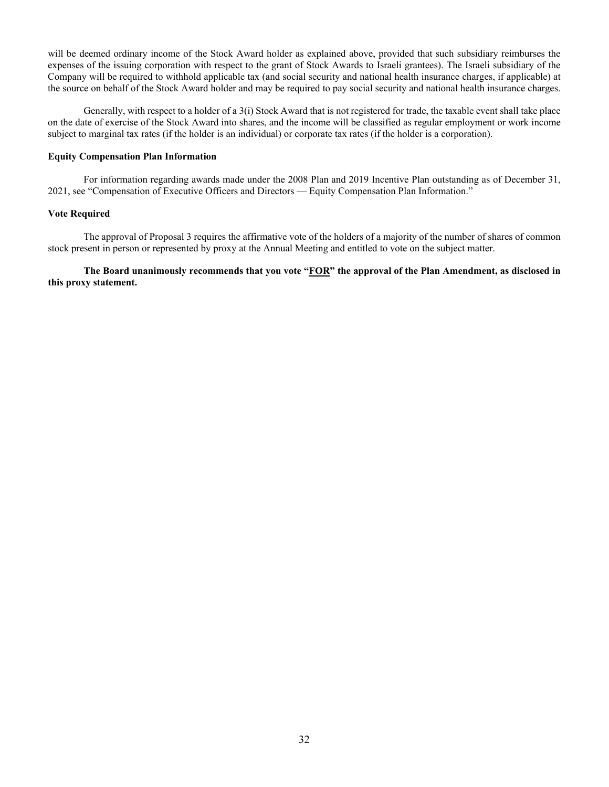will be deemed ordinary income of the Stock Award holder as explained above, provided that such subsidiary reimburses the expenses of the issuing corporation with respect to the grant of Stock Awards to Israeli grantees). The Israeli subsidiary of the Company will be required to withhold applicable tax (and social security and national health insurance charges, if applicable) at the source on behalf of the Stock Award holder and may be required to pay social security and national health insurance charges.

Generally, with respect to a holder of a 3(i) Stock Award that is not registered for trade, the taxable event shall take place on the date of exercise of the Stock Award into shares, and the income will be classified as regular employment or work income subject to marginal tax rates (if the holder is an individual) or corporate tax rates (if the holder is a corporation).

### **Equity Compensation Plan Information**

For information regarding awards made under the 2008 Plan and 2019 Incentive Plan outstanding as of December 31, 2021, see "Compensation of Executive Officers and Directors — Equity Compensation Plan Information."

## **Vote Required**

The approval of Proposal 3 requires the affirmative vote of the holders of a majority of the number of shares of common stock present in person or represented by proxy at the Annual Meeting and entitled to vote on the subject matter.

**The Board unanimously recommends that you vote "FOR" the approval of the Plan Amendment, as disclosed in this proxy statement.**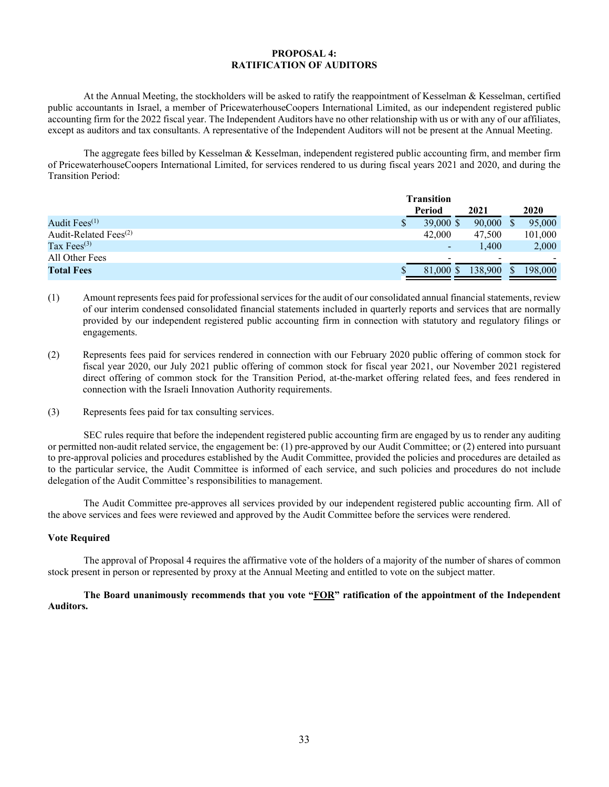## **PROPOSAL 4: RATIFICATION OF AUDITORS**

At the Annual Meeting, the stockholders will be asked to ratify the reappointment of Kesselman & Kesselman, certified public accountants in Israel, a member of PricewaterhouseCoopers International Limited, as our independent registered public accounting firm for the 2022 fiscal year. The Independent Auditors have no other relationship with us or with any of our affiliates, except as auditors and tax consultants. A representative of the Independent Auditors will not be present at the Annual Meeting.

The aggregate fees billed by Kesselman & Kesselman, independent registered public accounting firm, and member firm of PricewaterhouseCoopers International Limited, for services rendered to us during fiscal years 2021 and 2020, and during the Transition Period:

|                                   | <b>Transition</b>                    |                |
|-----------------------------------|--------------------------------------|----------------|
|                                   | Period<br>2021                       | 2020           |
| Audit $Fees^{(1)}$                | $39,000 \text{ }$ \$<br>90,000<br>\$ | 95,000         |
| Audit-Related Fees <sup>(2)</sup> | 42,000<br>47,500                     | 101,000        |
| Tax Fees $^{(3)}$                 | $\overline{\phantom{a}}$             | 2,000<br>1.400 |
| All Other Fees                    | $\overline{\phantom{0}}$             | -              |
| <b>Total Fees</b>                 | 138,900<br>81,000 \$                 | 198,000        |

- (1) Amount represents fees paid for professional services for the audit of our consolidated annual financial statements, review of our interim condensed consolidated financial statements included in quarterly reports and services that are normally provided by our independent registered public accounting firm in connection with statutory and regulatory filings or engagements.
- (2) Represents fees paid for services rendered in connection with our February 2020 public offering of common stock for fiscal year 2020, our July 2021 public offering of common stock for fiscal year 2021, our November 2021 registered direct offering of common stock for the Transition Period, at-the-market offering related fees, and fees rendered in connection with the Israeli Innovation Authority requirements.
- (3) Represents fees paid for tax consulting services.

SEC rules require that before the independent registered public accounting firm are engaged by us to render any auditing or permitted non-audit related service, the engagement be: (1) pre-approved by our Audit Committee; or (2) entered into pursuant to pre-approval policies and procedures established by the Audit Committee, provided the policies and procedures are detailed as to the particular service, the Audit Committee is informed of each service, and such policies and procedures do not include delegation of the Audit Committee's responsibilities to management.

The Audit Committee pre-approves all services provided by our independent registered public accounting firm. All of the above services and fees were reviewed and approved by the Audit Committee before the services were rendered.

#### **Vote Required**

The approval of Proposal 4 requires the affirmative vote of the holders of a majority of the number of shares of common stock present in person or represented by proxy at the Annual Meeting and entitled to vote on the subject matter.

## **The Board unanimously recommends that you vote "FOR" ratification of the appointment of the Independent Auditors.**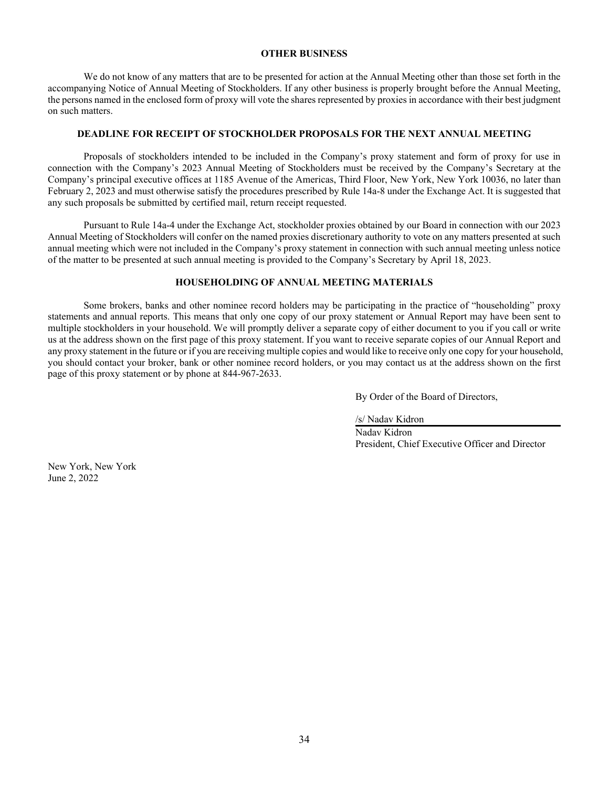#### **OTHER BUSINESS**

We do not know of any matters that are to be presented for action at the Annual Meeting other than those set forth in the accompanying Notice of Annual Meeting of Stockholders. If any other business is properly brought before the Annual Meeting, the persons named in the enclosed form of proxy will vote the shares represented by proxies in accordance with their best judgment on such matters.

#### **DEADLINE FOR RECEIPT OF STOCKHOLDER PROPOSALS FOR THE NEXT ANNUAL MEETING**

Proposals of stockholders intended to be included in the Company's proxy statement and form of proxy for use in connection with the Company's 2023 Annual Meeting of Stockholders must be received by the Company's Secretary at the Company's principal executive offices at 1185 Avenue of the Americas, Third Floor, New York, New York 10036, no later than February 2, 2023 and must otherwise satisfy the procedures prescribed by Rule 14a-8 under the Exchange Act. It is suggested that any such proposals be submitted by certified mail, return receipt requested.

Pursuant to Rule 14a-4 under the Exchange Act, stockholder proxies obtained by our Board in connection with our 2023 Annual Meeting of Stockholders will confer on the named proxies discretionary authority to vote on any matters presented at such annual meeting which were not included in the Company's proxy statement in connection with such annual meeting unless notice of the matter to be presented at such annual meeting is provided to the Company's Secretary by April 18, 2023.

## **HOUSEHOLDING OF ANNUAL MEETING MATERIALS**

Some brokers, banks and other nominee record holders may be participating in the practice of "householding" proxy statements and annual reports. This means that only one copy of our proxy statement or Annual Report may have been sent to multiple stockholders in your household. We will promptly deliver a separate copy of either document to you if you call or write us at the address shown on the first page of this proxy statement. If you want to receive separate copies of our Annual Report and any proxy statement in the future or if you are receiving multiple copies and would like to receive only one copy for your household, you should contact your broker, bank or other nominee record holders, or you may contact us at the address shown on the first page of this proxy statement or by phone at 844-967-2633.

By Order of the Board of Directors,

/s/ Nadav Kidron

 Nadav Kidron President, Chief Executive Officer and Director

New York, New York June 2, 2022